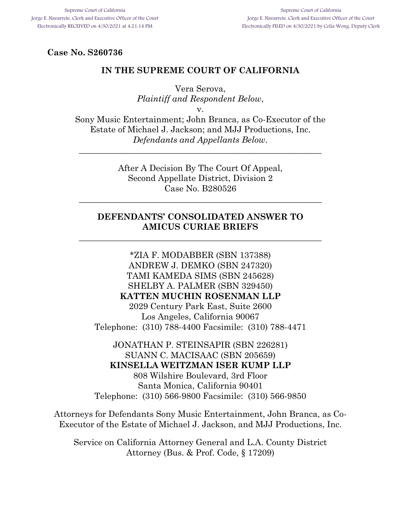### **Case No. S260736**

#### **IN THE SUPREME COURT OF CALIFORNIA**

Vera Serova, *Plaintiff and Respondent Below*, v.

Sony Music Entertainment; John Branca, as Co-Executor of the Estate of Michael J. Jackson; and MJJ Productions, Inc. *Defendants and Appellants Below*.

\_\_\_\_\_\_\_\_\_\_\_\_\_\_\_\_\_\_\_\_\_\_\_\_\_\_\_\_\_\_\_\_\_\_\_\_\_\_\_\_\_\_\_\_\_\_\_\_\_\_\_\_\_\_\_\_\_

After A Decision By The Court Of Appeal, Second Appellate District, Division 2 Case No. B280526

\_\_\_\_\_\_\_\_\_\_\_\_\_\_\_\_\_\_\_\_\_\_\_\_\_\_\_\_\_\_\_\_\_\_\_\_\_\_\_\_\_\_\_\_\_\_\_\_\_\_\_\_\_\_\_\_\_

### **DEFENDANTS' CONSOLIDATED ANSWER TO AMICUS CURIAE BRIEFS**

\_\_\_\_\_\_\_\_\_\_\_\_\_\_\_\_\_\_\_\_\_\_\_\_\_\_\_\_\_\_\_\_\_\_\_\_\_\_\_\_\_\_\_\_\_\_\_\_\_\_\_\_\_\_\_\_\_

\*ZIA F. MODABBER (SBN 137388) ANDREW J. DEMKO (SBN 247320) TAMI KAMEDA SIMS (SBN 245628) SHELBY A. PALMER (SBN 329450) **KATTEN MUCHIN ROSENMAN LLP** 2029 Century Park East, Suite 2600 Los Angeles, California 90067 Telephone: (310) 788-4400 Facsimile: (310) 788-4471

JONATHAN P. STEINSAPIR (SBN 226281) SUANN C. MACISAAC (SBN 205659) **KINSELLA WEITZMAN ISER KUMP LLP** 808 Wilshire Boulevard, 3rd Floor

Santa Monica, California 90401 Telephone: (310) 566-9800 Facsimile: (310) 566-9850

Attorneys for Defendants Sony Music Entertainment, John Branca, as Co-Executor of the Estate of Michael J. Jackson, and MJJ Productions, Inc.

Service on California Attorney General and L.A. County District Attorney (Bus. & Prof. Code, § 17209)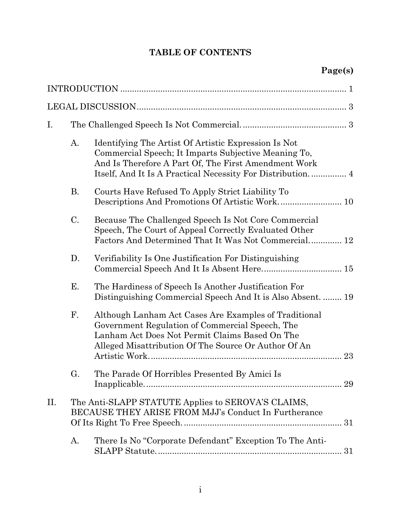# **TABLE OF CONTENTS**

| I.  |                 |                                                                                                                                                                                                                    |    |
|-----|-----------------|--------------------------------------------------------------------------------------------------------------------------------------------------------------------------------------------------------------------|----|
|     | A.              | Identifying The Artist Of Artistic Expression Is Not<br>Commercial Speech; It Imparts Subjective Meaning To,<br>And Is Therefore A Part Of, The First Amendment Work                                               |    |
|     | <b>B.</b>       | Courts Have Refused To Apply Strict Liability To<br>Descriptions And Promotions Of Artistic Work 10                                                                                                                |    |
|     | $\mathcal{C}$ . | Because The Challenged Speech Is Not Core Commercial<br>Speech, The Court of Appeal Correctly Evaluated Other<br>Factors And Determined That It Was Not Commercial 12                                              |    |
|     | D.              | Verifiability Is One Justification For Distinguishing                                                                                                                                                              |    |
|     | Ε.              | The Hardiness of Speech Is Another Justification For<br>Distinguishing Commercial Speech And It is Also Absent.  19                                                                                                |    |
|     | F.              | Although Lanham Act Cases Are Examples of Traditional<br>Government Regulation of Commercial Speech, The<br>Lanham Act Does Not Permit Claims Based On The<br>Alleged Misattribution Of The Source Or Author Of An | 23 |
|     | G.              | The Parade Of Horribles Presented By Amici Is                                                                                                                                                                      |    |
| II. |                 | The Anti-SLAPP STATUTE Applies to SEROVA'S CLAIMS,<br>BECAUSE THEY ARISE FROM MJJ's Conduct In Furtherance                                                                                                         |    |
|     | Α.              | There Is No "Corporate Defendant" Exception To The Anti-                                                                                                                                                           |    |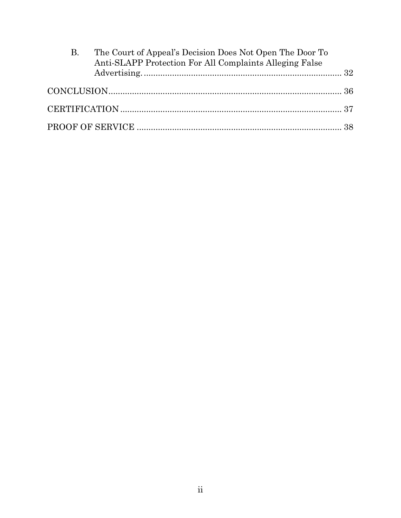| B. | The Court of Appeal's Decision Does Not Open The Door To<br>Anti-SLAPP Protection For All Complaints Alleging False |  |
|----|---------------------------------------------------------------------------------------------------------------------|--|
|    |                                                                                                                     |  |
|    |                                                                                                                     |  |
|    |                                                                                                                     |  |
|    |                                                                                                                     |  |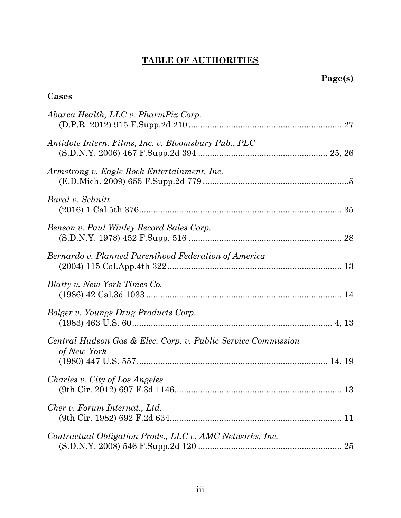# **TABLE OF AUTHORITIES**

# **Cases**

| Abarca Health, LLC v. PharmPix Corp.                                         |
|------------------------------------------------------------------------------|
| Antidote Intern. Films, Inc. v. Bloomsbury Pub., PLC                         |
| Armstrong v. Eagle Rock Entertainment, Inc.                                  |
| Baral v. Schnitt                                                             |
| Benson v. Paul Winley Record Sales Corp.                                     |
| Bernardo v. Planned Parenthood Federation of America                         |
| Blatty v. New York Times Co.                                                 |
| Bolger v. Youngs Drug Products Corp.                                         |
| Central Hudson Gas & Elec. Corp. v. Public Service Commission<br>of New York |
| Charles v. City of Los Angeles                                               |
| Cher v. Forum Internat., Ltd.                                                |
| Contractual Obligation Prods., LLC v. AMC Networks, Inc.                     |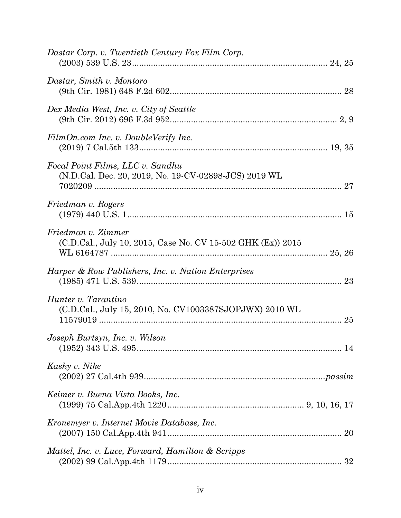| Dastar Corp. v. Twentieth Century Fox Film Corp.                                          |    |
|-------------------------------------------------------------------------------------------|----|
| Dastar, Smith v. Montoro                                                                  |    |
| Dex Media West, Inc. v. City of Seattle                                                   |    |
| FilmOn.com Inc. v. DoubleVerify Inc.                                                      |    |
| Focal Point Films, LLC v. Sandhu<br>(N.D.Cal. Dec. 20, 2019, No. 19-CV-02898-JCS) 2019 WL |    |
| Friedman v. Rogers                                                                        |    |
| Friedman v. Zimmer<br>(C.D.Cal., July 10, 2015, Case No. CV 15-502 GHK (Ex)) 2015         |    |
| Harper & Row Publishers, Inc. v. Nation Enterprises                                       |    |
| Hunter v. Tarantino<br>(C.D.Cal., July 15, 2010, No. CV1003387SJOPJWX) 2010 WL            |    |
| Joseph Burtsyn, Inc. v. Wilson                                                            |    |
| Kasky v. Nike                                                                             |    |
| Keimer v. Buena Vista Books, Inc.                                                         |    |
| Kronemyer v. Internet Movie Database, Inc.                                                | 20 |
| Mattel, Inc. v. Luce, Forward, Hamilton & Scripps                                         |    |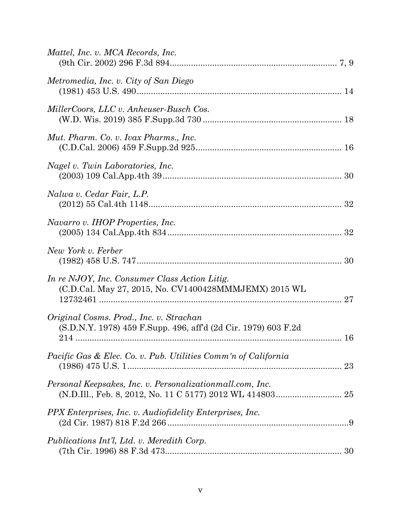| Mattel, Inc. v. MCA Records, Inc.                                                                         |    |
|-----------------------------------------------------------------------------------------------------------|----|
| Metromedia, Inc. v. City of San Diego                                                                     |    |
| MillerCoors, LLC v. Anheuser-Busch Cos.                                                                   |    |
| Mut. Pharm. Co. v. Ivax Pharms., Inc.                                                                     |    |
| Nagel v. Twin Laboratories, Inc.                                                                          |    |
| Nalwa v. Cedar Fair, L.P.                                                                                 |    |
| Navarro v. IHOP Properties, Inc.                                                                          |    |
| New York v. Ferber                                                                                        |    |
| In re NJOY, Inc. Consumer Class Action Litig.<br>(C.D.Cal. May 27, 2015, No. CV1400428MMMJEMX) 2015 WL    |    |
| Original Cosms. Prod., Inc. v. Strachan<br>(S.D.N.Y. 1978) 459 F.Supp. 496, aff'd (2d Cir. 1979) 603 F.2d |    |
| <i>Pacific Gas &amp; Elec. Co. v. Pub. Utilities Comm'n of California</i>                                 | 23 |
| Personal Keepsakes, Inc. v. Personalization mall.com, Inc.                                                |    |
| PPX Enterprises, Inc. v. Audiofidelity Enterprises, Inc.                                                  |    |
| Publications Int'l, Ltd. v. Meredith Corp.                                                                |    |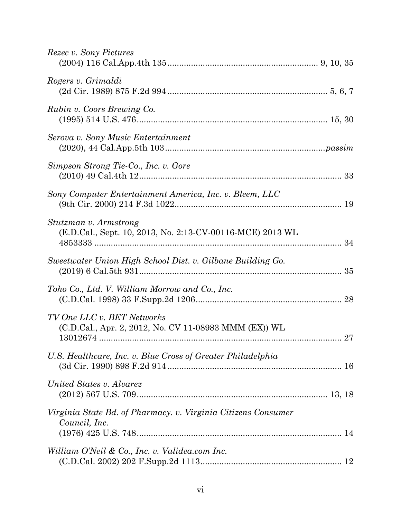| <i>Rezec v. Sony Pictures</i>                                                       |  |
|-------------------------------------------------------------------------------------|--|
| Rogers v. Grimaldi                                                                  |  |
| Rubin v. Coors Brewing Co.                                                          |  |
| Serova v. Sony Music Entertainment                                                  |  |
| Simpson Strong Tie-Co., Inc. v. Gore                                                |  |
| Sony Computer Entertainment America, Inc. v. Bleem, LLC                             |  |
| Stutzman v. Armstrong<br>(E.D.Cal., Sept. 10, 2013, No. 2:13-CV-00116-MCE) 2013 WL  |  |
| Sweetwater Union High School Dist. v. Gilbane Building Go.                          |  |
| Toho Co., Ltd. V. William Morrow and Co., Inc.                                      |  |
| TV One LLC v. BET Networks<br>(C.D.Cal., Apr. 2, 2012, No. CV 11-08983 MMM (EX)) WL |  |
| U.S. Healthcare, Inc. v. Blue Cross of Greater Philadelphia                         |  |
| United States v. Alvarez                                                            |  |
| Virginia State Bd. of Pharmacy. v. Virginia Citizens Consumer<br>Council, Inc.      |  |
| William O'Neil & Co., Inc. v. Validea.com Inc.                                      |  |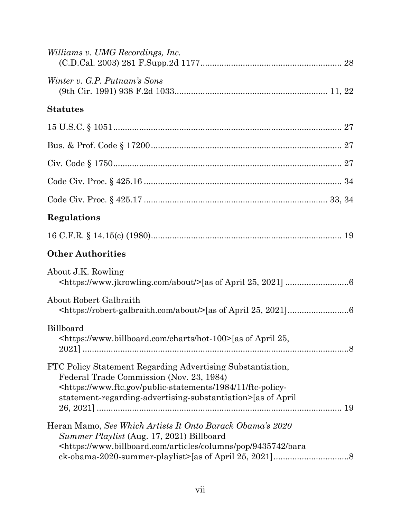| Williams v. UMG Recordings, Inc.                                                                                                                                                                                                                              |
|---------------------------------------------------------------------------------------------------------------------------------------------------------------------------------------------------------------------------------------------------------------|
| Winter v. G.P. Putnam's Sons                                                                                                                                                                                                                                  |
| <b>Statutes</b>                                                                                                                                                                                                                                               |
|                                                                                                                                                                                                                                                               |
|                                                                                                                                                                                                                                                               |
|                                                                                                                                                                                                                                                               |
|                                                                                                                                                                                                                                                               |
|                                                                                                                                                                                                                                                               |
| Regulations                                                                                                                                                                                                                                                   |
|                                                                                                                                                                                                                                                               |
| <b>Other Authorities</b>                                                                                                                                                                                                                                      |
| About J.K. Rowling                                                                                                                                                                                                                                            |
| <b>About Robert Galbraith</b>                                                                                                                                                                                                                                 |
| Billboard<br><https: charts="" hot-100="" www.billboard.com="">[as of April 25,</https:>                                                                                                                                                                      |
| FTC Policy Statement Regarding Advertising Substantiation,<br>Federal Trade Commission (Nov. 23, 1984)<br><https: 11="" 1984="" ftc-policy-<br="" public-statements="" www.ftc.gov="">statement-regarding-advertising-substantiation&gt;[as of April</https:> |
| Heran Mamo, See Which Artists It Onto Barack Obama's 2020<br>Summer Playlist (Aug. 17, 2021) Billboard<br>https://www.billboard.com/articles/columns/pop/9435742/bara>                                                                                        |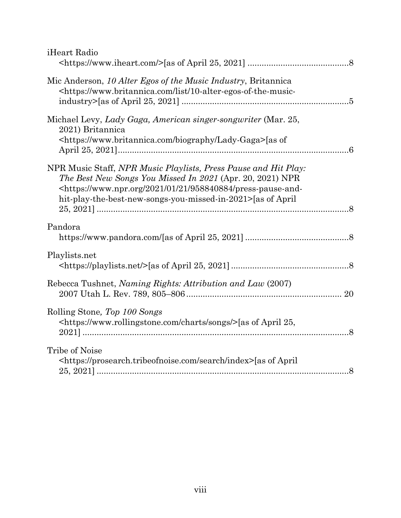| iHeart Radio                                                                                                                                                                                                                                                                            |  |
|-----------------------------------------------------------------------------------------------------------------------------------------------------------------------------------------------------------------------------------------------------------------------------------------|--|
| Mic Anderson, 10 Alter Egos of the Music Industry, Britannica<br><https: 10-alter-egos-of-the-music-<="" list="" td="" www.britannica.com=""><td></td></https:>                                                                                                                         |  |
| Michael Levy, Lady Gaga, American singer-songwriter (Mar. 25,<br>2021) Britannica<br><https: biography="" lady-gaga="" www.britannica.com="">[as of</https:>                                                                                                                            |  |
| NPR Music Staff, NPR Music Playlists, Press Pause and Hit Play:<br>The Best New Songs You Missed In 2021 (Apr. 20, 2021) NPR<br><https: 01="" 2021="" 21="" 958840884="" press-pause-and-<br="" www.npr.org="">hit-play-the-best-new-songs-you-missed-in-2021&gt;[as of April]</https:> |  |
| Pandora                                                                                                                                                                                                                                                                                 |  |
| Playlists.net                                                                                                                                                                                                                                                                           |  |
| Rebecca Tushnet, Naming Rights: Attribution and Law (2007)                                                                                                                                                                                                                              |  |
| Rolling Stone, Top 100 Songs<br><https: charts="" songs="" www.rollingstone.com=""></https:> [as of April 25,                                                                                                                                                                           |  |
| Tribe of Noise<br><https: index="" prosearch.tribeofnoise.com="" search="">[as of April]</https:>                                                                                                                                                                                       |  |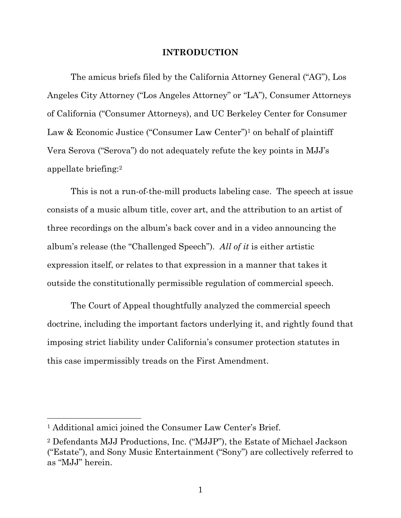#### **INTRODUCTION**

<span id="page-9-0"></span>The amicus briefs filed by the California Attorney General ("AG"), Los Angeles City Attorney ("Los Angeles Attorney" or "LA"), Consumer Attorneys of California ("Consumer Attorneys), and UC Berkeley Center for Consumer Law & Economic Justice ("Consumer Law Center")<sup>1</sup> on behalf of plaintiff Vera Serova ("Serova") do not adequately refute the key points in MJJ's appellate briefing:<sup>2</sup>

This is not a run-of-the-mill products labeling case. The speech at issue consists of a music album title, cover art, and the attribution to an artist of three recordings on the album's back cover and in a video announcing the album's release (the "Challenged Speech"). *All of it* is either artistic expression itself, or relates to that expression in a manner that takes it outside the constitutionally permissible regulation of commercial speech.

The Court of Appeal thoughtfully analyzed the commercial speech doctrine, including the important factors underlying it, and rightly found that imposing strict liability under California's consumer protection statutes in this case impermissibly treads on the First Amendment.

<sup>1</sup> Additional amici joined the Consumer Law Center's Brief.

<sup>2</sup> Defendants MJJ Productions, Inc. ("MJJP"), the Estate of Michael Jackson ("Estate"), and Sony Music Entertainment ("Sony") are collectively referred to as "MJJ" herein.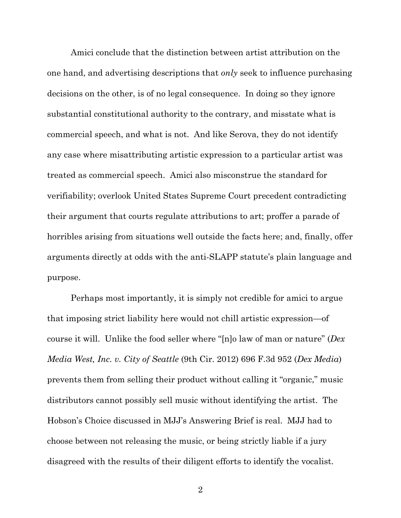Amici conclude that the distinction between artist attribution on the one hand, and advertising descriptions that *only* seek to influence purchasing decisions on the other, is of no legal consequence. In doing so they ignore substantial constitutional authority to the contrary, and misstate what is commercial speech, and what is not. And like Serova, they do not identify any case where misattributing artistic expression to a particular artist was treated as commercial speech. Amici also misconstrue the standard for verifiability; overlook United States Supreme Court precedent contradicting their argument that courts regulate attributions to art; proffer a parade of horribles arising from situations well outside the facts here; and, finally, offer arguments directly at odds with the anti-SLAPP statute's plain language and purpose.

<span id="page-10-0"></span>Perhaps most importantly, it is simply not credible for amici to argue that imposing strict liability here would not chill artistic expression—of course it will. Unlike the food seller where "[n]o law of man or nature" (*Dex Media West, Inc. v. City of Seattle* (9th Cir. 2012) 696 F.3d 952 (*Dex Media*) prevents them from selling their product without calling it "organic," music distributors cannot possibly sell music without identifying the artist. The Hobson's Choice discussed in MJJ's Answering Brief is real. MJJ had to choose between not releasing the music, or being strictly liable if a jury disagreed with the results of their diligent efforts to identify the vocalist.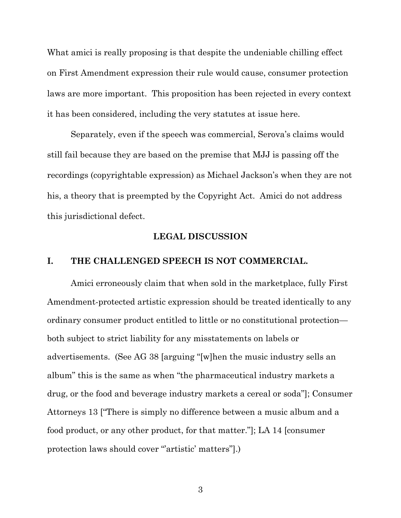What amici is really proposing is that despite the undeniable chilling effect on First Amendment expression their rule would cause, consumer protection laws are more important. This proposition has been rejected in every context it has been considered, including the very statutes at issue here.

Separately, even if the speech was commercial, Serova's claims would still fail because they are based on the premise that MJJ is passing off the recordings (copyrightable expression) as Michael Jackson's when they are not his, a theory that is preempted by the Copyright Act. Amici do not address this jurisdictional defect.

#### **LEGAL DISCUSSION**

#### <span id="page-11-1"></span><span id="page-11-0"></span>**I. THE CHALLENGED SPEECH IS NOT COMMERCIAL.**

Amici erroneously claim that when sold in the marketplace, fully First Amendment-protected artistic expression should be treated identically to any ordinary consumer product entitled to little or no constitutional protection both subject to strict liability for any misstatements on labels or advertisements. (See AG 38 [arguing "[w]hen the music industry sells an album" this is the same as when "the pharmaceutical industry markets a drug, or the food and beverage industry markets a cereal or soda"]; Consumer Attorneys 13 ["There is simply no difference between a music album and a food product, or any other product, for that matter."]; LA 14 [consumer protection laws should cover "artistic' matters"].)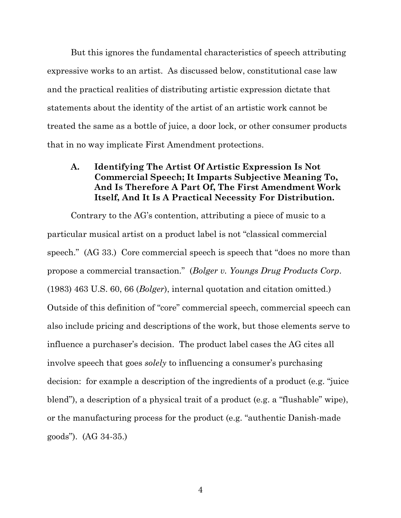But this ignores the fundamental characteristics of speech attributing expressive works to an artist. As discussed below, constitutional case law and the practical realities of distributing artistic expression dictate that statements about the identity of the artist of an artistic work cannot be treated the same as a bottle of juice, a door lock, or other consumer products that in no way implicate First Amendment protections.

### <span id="page-12-0"></span>**A. Identifying The Artist Of Artistic Expression Is Not Commercial Speech; It Imparts Subjective Meaning To, And Is Therefore A Part Of, The First Amendment Work Itself, And It Is A Practical Necessity For Distribution.**

<span id="page-12-1"></span>Contrary to the AG's contention, attributing a piece of music to a particular musical artist on a product label is not "classical commercial speech." (AG 33.) Core commercial speech is speech that "does no more than propose a commercial transaction." (*Bolger v. Youngs Drug Products Corp*. (1983) 463 U.S. 60, 66 (*Bolger*), internal quotation and citation omitted.) Outside of this definition of "core" commercial speech, commercial speech can also include pricing and descriptions of the work, but those elements serve to influence a purchaser's decision. The product label cases the AG cites all involve speech that goes *solely* to influencing a consumer's purchasing decision: for example a description of the ingredients of a product (e.g. "juice blend"), a description of a physical trait of a product (e.g. a "flushable" wipe), or the manufacturing process for the product (e.g. "authentic Danish-made goods"). (AG 34-35.)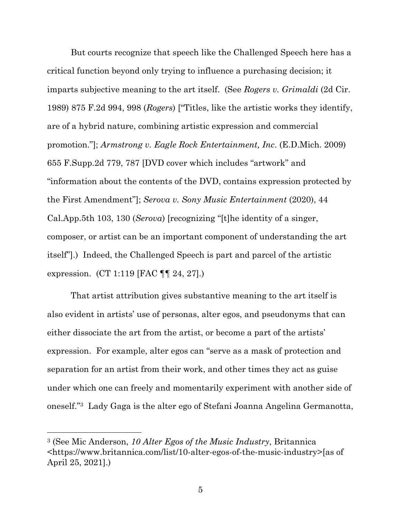<span id="page-13-1"></span><span id="page-13-0"></span>But courts recognize that speech like the Challenged Speech here has a critical function beyond only trying to influence a purchasing decision; it imparts subjective meaning to the art itself. (See *Rogers v. Grimaldi* (2d Cir. 1989) 875 F.2d 994, 998 (*Rogers*) ["Titles, like the artistic works they identify, are of a hybrid nature, combining artistic expression and commercial promotion."]; *Armstrong v. Eagle Rock Entertainment, Inc*. (E.D.Mich. 2009) 655 F.Supp.2d 779, 787 [DVD cover which includes "artwork" and "information about the contents of the DVD, contains expression protected by the First Amendment"]; *Serova v. Sony Music Entertainment* (2020), 44 Cal.App.5th 103, 130 (*Serova*) [recognizing "[t]he identity of a singer, composer, or artist can be an important component of understanding the art itself"].) Indeed, the Challenged Speech is part and parcel of the artistic expression. (CT 1:119 [FAC ¶¶ 24, 27].)

<span id="page-13-2"></span>That artist attribution gives substantive meaning to the art itself is also evident in artists' use of personas, alter egos, and pseudonyms that can either dissociate the art from the artist, or become a part of the artists' expression. For example, alter egos can "serve as a mask of protection and separation for an artist from their work, and other times they act as guise under which one can freely and momentarily experiment with another side of oneself."3 Lady Gaga is the alter ego of Stefani Joanna Angelina Germanotta,

<span id="page-13-3"></span><sup>3</sup> (See Mic Anderson, *10 Alter Egos of the Music Industry*, Britannica <https://www.britannica.com/list/10-alter-egos-of-the-music-industry>[as of April 25, 2021].)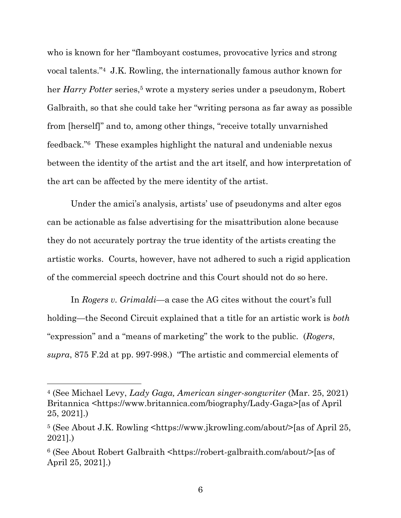who is known for her "flamboyant costumes, provocative lyrics and strong vocal talents."4 J.K. Rowling, the internationally famous author known for her *Harry Potter* series,<sup>5</sup> wrote a mystery series under a pseudonym, Robert Galbraith, so that she could take her "writing persona as far away as possible from [herself]" and to, among other things, "receive totally unvarnished feedback."6 These examples highlight the natural and undeniable nexus between the identity of the artist and the art itself, and how interpretation of the art can be affected by the mere identity of the artist.

Under the amici's analysis, artists' use of pseudonyms and alter egos can be actionable as false advertising for the misattribution alone because they do not accurately portray the true identity of the artists creating the artistic works. Courts, however, have not adhered to such a rigid application of the commercial speech doctrine and this Court should not do so here.

<span id="page-14-0"></span>In *Rogers v. Grimaldi*—a case the AG cites without the court's full holding—the Second Circuit explained that a title for an artistic work is *both* "expression" and a "means of marketing" the work to the public. (*Rogers*, *supra*, 875 F.2d at pp. 997-998.) "The artistic and commercial elements of

<span id="page-14-3"></span><sup>4</sup> (See Michael Levy, *Lady Gaga, American singer-songwriter* (Mar. 25, 2021) Britannica <https://www.britannica.com/biography/Lady-Gaga>[as of April 25, 2021].)

<span id="page-14-1"></span><sup>5</sup> (See About J.K. Rowling <https://www.jkrowling.com/about/>[as of April 25, 2021].)

<span id="page-14-2"></span><sup>6</sup> (See About Robert Galbraith <https://robert-galbraith.com/about/>[as of April 25, 2021].)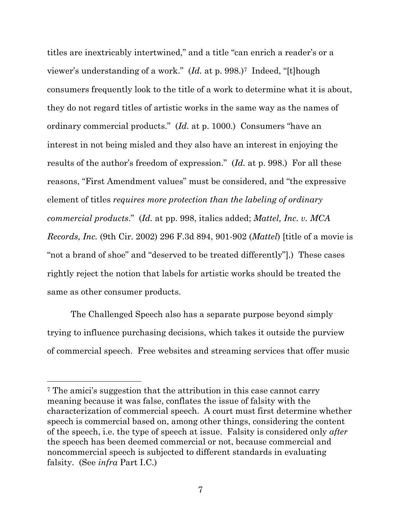<span id="page-15-1"></span>titles are inextricably intertwined," and a title "can enrich a reader's or a viewer's understanding of a work." (*Id.* at p. 998.) <sup>7</sup> Indeed, "[t]hough consumers frequently look to the title of a work to determine what it is about, they do not regard titles of artistic works in the same way as the names of ordinary commercial products." (*Id.* at p. 1000.) Consumers "have an interest in not being misled and they also have an interest in enjoying the results of the author's freedom of expression." (*Id.* at p. 998.) For all these reasons, "First Amendment values" must be considered, and "the expressive element of titles *requires more protection than the labeling of ordinary commercial products*." (*Id.* at pp. 998, italics added; *Mattel, Inc. v. MCA Records, Inc.* (9th Cir. 2002) 296 F.3d 894, 901-902 (*Mattel*) [title of a movie is "not a brand of shoe" and "deserved to be treated differently"].) These cases rightly reject the notion that labels for artistic works should be treated the same as other consumer products.

<span id="page-15-0"></span>The Challenged Speech also has a separate purpose beyond simply trying to influence purchasing decisions, which takes it outside the purview of commercial speech. Free websites and streaming services that offer music

<sup>7</sup> The amici's suggestion that the attribution in this case cannot carry meaning because it was false, conflates the issue of falsity with the characterization of commercial speech. A court must first determine whether speech is commercial based on, among other things, considering the content of the speech, i.e. the type of speech at issue. Falsity is considered only *after*  the speech has been deemed commercial or not, because commercial and noncommercial speech is subjected to different standards in evaluating falsity. (See *infra* Part I.C.)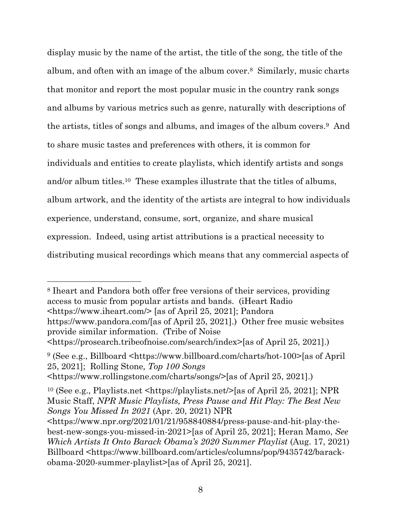display music by the name of the artist, the title of the song, the title of the album, and often with an image of the album cover.<sup>8</sup> Similarly, music charts that monitor and report the most popular music in the country rank songs and albums by various metrics such as genre, naturally with descriptions of the artists, titles of songs and albums, and images of the album covers.9 And to share music tastes and preferences with others, it is common for individuals and entities to create playlists, which identify artists and songs and/or album titles.10 These examples illustrate that the titles of albums, album artwork, and the identity of the artists are integral to how individuals experience, understand, consume, sort, organize, and share musical expression. Indeed, using artist attributions is a practical necessity to distributing musical recordings which means that any commercial aspects of

<span id="page-16-4"></span><sup>8</sup> Iheart and Pandora both offer free versions of their services, providing access to music from popular artists and bands. (iHeart Radio <https://www.iheart.com/> [as of April 25, 2021]; Pandora https://www.pandora.com/[as of April 25, 2021].) Other free music websites provide similar information. (Tribe of Noise <https://prosearch.tribeofnoise.com/search/index>[as of April 25, 2021].)

<span id="page-16-2"></span>

<span id="page-16-7"></span><span id="page-16-6"></span><span id="page-16-0"></span><sup>9</sup> (See e.g., Billboard <https://www.billboard.com/charts/hot-100>[as of April 25, 2021]; Rolling Stone*, Top 100 Songs* <https://www.rollingstone.com/charts/songs/>[as of April 25, 2021].)

<span id="page-16-5"></span><span id="page-16-3"></span><sup>10</sup> (See e.g., Playlists.net <https://playlists.net/>[as of April 25, 2021]; NPR Music Staff, *NPR Music Playlists, Press Pause and Hit Play: The Best New Songs You Missed In 2021* (Apr. 20, 2021) NPR

<span id="page-16-1"></span><https://www.npr.org/2021/01/21/958840884/press-pause-and-hit-play-thebest-new-songs-you-missed-in-2021>[as of April 25, 2021]; Heran Mamo, *See Which Artists It Onto Barack Obama's 2020 Summer Playlist* (Aug. 17, 2021) Billboard <https://www.billboard.com/articles/columns/pop/9435742/barackobama-2020-summer-playlist>[as of April 25, 2021].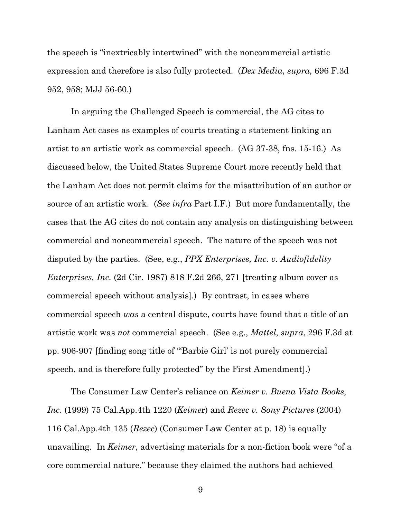<span id="page-17-0"></span>the speech is "inextricably intertwined" with the noncommercial artistic expression and therefore is also fully protected. (*Dex Media*, *supra,* 696 F.3d 952, 958; MJJ 56-60.)

In arguing the Challenged Speech is commercial, the AG cites to Lanham Act cases as examples of courts treating a statement linking an artist to an artistic work as commercial speech. (AG 37-38, fns. 15-16.) As discussed below, the United States Supreme Court more recently held that the Lanham Act does not permit claims for the misattribution of an author or source of an artistic work. (*See infra* Part I.F.) But more fundamentally, the cases that the AG cites do not contain any analysis on distinguishing between commercial and noncommercial speech. The nature of the speech was not disputed by the parties. (See, e.g., *PPX Enterprises, Inc. v. Audiofidelity Enterprises, Inc.* (2d Cir. 1987) 818 F.2d 266, 271 [treating album cover as commercial speech without analysis].) By contrast, in cases where commercial speech *was* a central dispute, courts have found that a title of an artistic work was *not* commercial speech. (See e.g., *Mattel*, *supra*, 296 F.3d at pp. 906-907 [finding song title of "'Barbie Girl' is not purely commercial speech, and is therefore fully protected" by the First Amendment].)

<span id="page-17-4"></span><span id="page-17-3"></span><span id="page-17-2"></span><span id="page-17-1"></span>The Consumer Law Center's reliance on *Keimer v. Buena Vista Books, Inc*. (1999) 75 Cal.App.4th 1220 (*Keime*r) and *Rezec v. Sony Pictures* (2004) 116 Cal.App.4th 135 (*Rezec*) (Consumer Law Center at p. 18) is equally unavailing. In *Keimer*, advertising materials for a non-fiction book were "of a core commercial nature," because they claimed the authors had achieved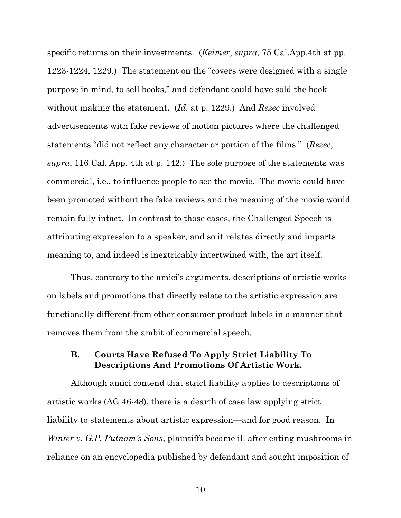<span id="page-18-2"></span><span id="page-18-1"></span>specific returns on their investments. (*Keimer*, *supra*, 75 Cal.App.4th at pp. 1223-1224, 1229.) The statement on the "covers were designed with a single purpose in mind, to sell books," and defendant could have sold the book without making the statement. (*Id.* at p. 1229.) And *Rezec* involved advertisements with fake reviews of motion pictures where the challenged statements "did not reflect any character or portion of the films." (*Rezec*, *supra*, 116 Cal. App. 4th at p. 142.) The sole purpose of the statements was commercial, i.e., to influence people to see the movie. The movie could have been promoted without the fake reviews and the meaning of the movie would remain fully intact. In contrast to those cases, the Challenged Speech is attributing expression to a speaker, and so it relates directly and imparts meaning to, and indeed is inextricably intertwined with, the art itself.

Thus, contrary to the amici's arguments, descriptions of artistic works on labels and promotions that directly relate to the artistic expression are functionally different from other consumer product labels in a manner that removes them from the ambit of commercial speech.

#### <span id="page-18-0"></span>**B. Courts Have Refused To Apply Strict Liability To Descriptions And Promotions Of Artistic Work.**

Although amici contend that strict liability applies to descriptions of artistic works (AG 46-48), there is a dearth of case law applying strict liability to statements about artistic expression—and for good reason. In *Winter v. G.P. Putnam's Sons*, plaintiffs became ill after eating mushrooms in reliance on an encyclopedia published by defendant and sought imposition of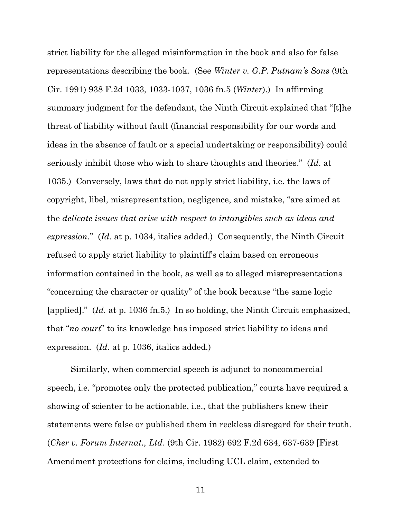<span id="page-19-1"></span>strict liability for the alleged misinformation in the book and also for false representations describing the book. (See *Winter v. G.P. Putnam's Sons* (9th Cir. 1991) 938 F.2d 1033, 1033-1037, 1036 fn.5 (*Winter*).) In affirming summary judgment for the defendant, the Ninth Circuit explained that "[t]he threat of liability without fault (financial responsibility for our words and ideas in the absence of fault or a special undertaking or responsibility) could seriously inhibit those who wish to share thoughts and theories." (*Id*. at 1035.) Conversely, laws that do not apply strict liability, i.e. the laws of copyright, libel, misrepresentation, negligence, and mistake, "are aimed at the *delicate issues that arise with respect to intangibles such as ideas and expression*." (*Id.* at p. 1034, italics added.) Consequently, the Ninth Circuit refused to apply strict liability to plaintiff's claim based on erroneous information contained in the book, as well as to alleged misrepresentations "concerning the character or quality" of the book because "the same logic [applied]." (*Id.* at p. 1036 fn.5.) In so holding, the Ninth Circuit emphasized, that "*no court*" to its knowledge has imposed strict liability to ideas and expression. (*Id.* at p. 1036, italics added.)

<span id="page-19-0"></span>Similarly, when commercial speech is adjunct to noncommercial speech, i.e. "promotes only the protected publication," courts have required a showing of scienter to be actionable, i.e., that the publishers knew their statements were false or published them in reckless disregard for their truth. (*Cher v. Forum Internat., Ltd*. (9th Cir. 1982) 692 F.2d 634, 637-639 [First Amendment protections for claims, including UCL claim, extended to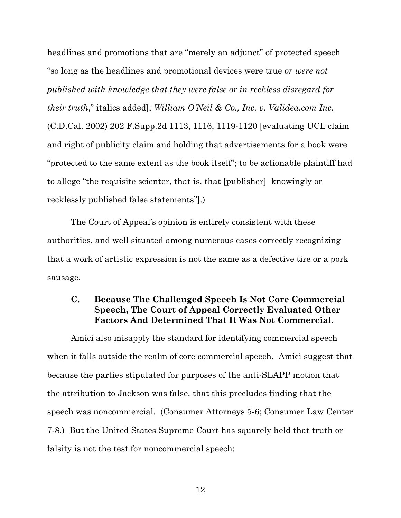<span id="page-20-1"></span>headlines and promotions that are "merely an adjunct" of protected speech "so long as the headlines and promotional devices were true *or were not published with knowledge that they were false or in reckless disregard for their truth*," italics added]; *William O'Neil & Co., Inc. v. Validea.com Inc.* (C.D.Cal. 2002) 202 F.Supp.2d 1113, 1116, 1119-1120 [evaluating UCL claim and right of publicity claim and holding that advertisements for a book were "protected to the same extent as the book itself"; to be actionable plaintiff had to allege "the requisite scienter, that is, that [publisher] knowingly or recklessly published false statements"].)

The Court of Appeal's opinion is entirely consistent with these authorities, and well situated among numerous cases correctly recognizing that a work of artistic expression is not the same as a defective tire or a pork sausage.

### <span id="page-20-0"></span>**C. Because The Challenged Speech Is Not Core Commercial Speech, The Court of Appeal Correctly Evaluated Other Factors And Determined That It Was Not Commercial.**

Amici also misapply the standard for identifying commercial speech when it falls outside the realm of core commercial speech. Amici suggest that because the parties stipulated for purposes of the anti-SLAPP motion that the attribution to Jackson was false, that this precludes finding that the speech was noncommercial. (Consumer Attorneys 5-6; Consumer Law Center 7-8.) But the United States Supreme Court has squarely held that truth or falsity is not the test for noncommercial speech: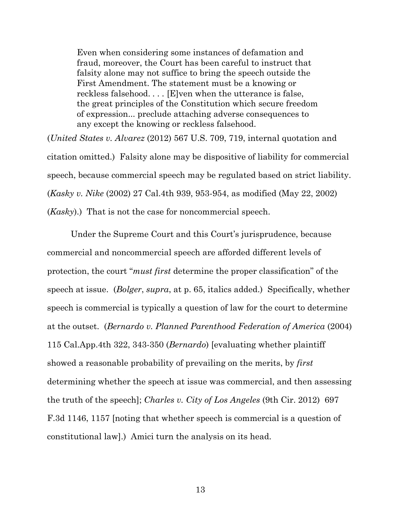Even when considering some instances of defamation and fraud, moreover, the Court has been careful to instruct that falsity alone may not suffice to bring the speech outside the First Amendment. The statement must be a knowing or reckless falsehood. *. . .* [E]ven when the utterance is false, the great principles of the Constitution which secure freedom of expression... preclude attaching adverse consequences to any except the knowing or reckless falsehood.

<span id="page-21-4"></span>(*United States v. Alvarez* (2012) 567 U.S. 709, 719, internal quotation and citation omitted.) Falsity alone may be dispositive of liability for commercial speech, because commercial speech may be regulated based on strict liability. (*Kasky v. Nike* (2002) 27 Cal.4th 939, 953-954, as modified (May 22, 2002) (*Kasky*).) That is not the case for noncommercial speech.

<span id="page-21-3"></span><span id="page-21-2"></span><span id="page-21-1"></span><span id="page-21-0"></span>Under the Supreme Court and this Court's jurisprudence, because commercial and noncommercial speech are afforded different levels of protection, the court "*must first* determine the proper classification" of the speech at issue. (*Bolger*, *supra*, at p. 65, italics added.) Specifically, whether speech is commercial is typically a question of law for the court to determine at the outset. (*Bernardo v. Planned Parenthood Federation of America* (2004) 115 Cal.App.4th 322, 343-350 (*Bernardo*) [evaluating whether plaintiff showed a reasonable probability of prevailing on the merits, by *first*  determining whether the speech at issue was commercial, and then assessing the truth of the speech]; *Charles v. City of Los Angeles* (9th Cir. 2012) 697 F.3d 1146, 1157 [noting that whether speech is commercial is a question of constitutional law].) Amici turn the analysis on its head.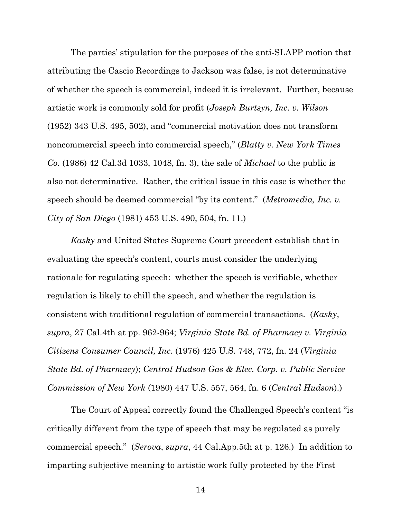<span id="page-22-2"></span><span id="page-22-0"></span>The parties' stipulation for the purposes of the anti-SLAPP motion that attributing the Cascio Recordings to Jackson was false, is not determinative of whether the speech is commercial, indeed it is irrelevant. Further, because artistic work is commonly sold for profit (*Joseph Burtsyn, Inc. v. Wilson* (1952) 343 U.S. 495, 502), and "commercial motivation does not transform noncommercial speech into commercial speech," (*Blatty v. New York Times Co.* (1986) 42 Cal.3d 1033, 1048, fn. 3), the sale of *Michael* to the public is also not determinative. Rather, the critical issue in this case is whether the speech should be deemed commercial "by its content." (*Metromedia, Inc. v. City of San Diego* (1981) 453 U.S. 490, 504, fn. 11.)

<span id="page-22-3"></span>*Kasky* and United States Supreme Court precedent establish that in evaluating the speech's content, courts must consider the underlying rationale for regulating speech: whether the speech is verifiable, whether regulation is likely to chill the speech, and whether the regulation is consistent with traditional regulation of commercial transactions. (*Kasky*, *supra*, 27 Cal.4th at pp. 962-964; *Virginia State Bd. of Pharmacy v. Virginia Citizens Consumer Council, Inc*. (1976) 425 U.S. 748, 772, fn. 24 (*Virginia State Bd. of Pharmacy*); *Central Hudson Gas & Elec. Corp. v. Public Service Commission of New York* (1980) 447 U.S. 557, 564, fn. 6 (*Central Hudson*).)

<span id="page-22-4"></span><span id="page-22-1"></span>The Court of Appeal correctly found the Challenged Speech's content "is critically different from the type of speech that may be regulated as purely commercial speech." (*Serova*, *supra*, 44 Cal.App.5th at p. 126.) In addition to imparting subjective meaning to artistic work fully protected by the First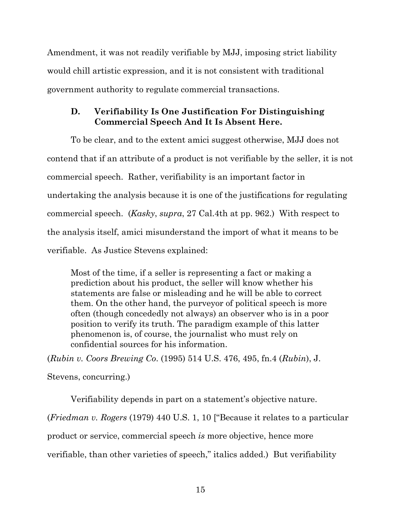Amendment, it was not readily verifiable by MJJ, imposing strict liability would chill artistic expression, and it is not consistent with traditional government authority to regulate commercial transactions.

### <span id="page-23-0"></span>**D. Verifiability Is One Justification For Distinguishing Commercial Speech And It Is Absent Here.**

To be clear, and to the extent amici suggest otherwise, MJJ does not contend that if an attribute of a product is not verifiable by the seller, it is not commercial speech. Rather, verifiability is an important factor in undertaking the analysis because it is one of the justifications for regulating commercial speech. (*Kasky*, *supra*, 27 Cal.4th at pp. 962.) With respect to the analysis itself, amici misunderstand the import of what it means to be verifiable. As Justice Stevens explained:

Most of the time, if a seller is representing a fact or making a prediction about his product, the seller will know whether his statements are false or misleading and he will be able to correct them. On the other hand, the purveyor of political speech is more often (though concededly not always) an observer who is in a poor position to verify its truth. The paradigm example of this latter phenomenon is, of course, the journalist who must rely on confidential sources for his information.

<span id="page-23-2"></span>(*Rubin v. Coors Brewing Co*. (1995) 514 U.S. 476, 495, fn.4 (*Rubin*), J.

Stevens, concurring.)

Verifiability depends in part on a statement's objective nature.

<span id="page-23-1"></span>(*Friedman v. Rogers* (1979) 440 U.S. 1, 10 ["Because it relates to a particular

product or service, commercial speech *is* more objective, hence more

verifiable, than other varieties of speech," italics added.) But verifiability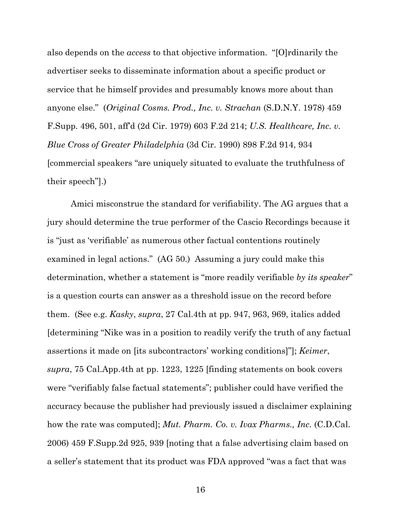<span id="page-24-3"></span><span id="page-24-2"></span>also depends on the *access* to that objective information. "[O]rdinarily the advertiser seeks to disseminate information about a specific product or service that he himself provides and presumably knows more about than anyone else." (*Original Cosms. Prod., Inc. v. Strachan* (S.D.N.Y. 1978) 459 F.Supp. 496, 501, aff'd (2d Cir. 1979) 603 F.2d 214; *U.S. Healthcare, Inc. v. Blue Cross of Greater Philadelphia* (3d Cir. 1990) 898 F.2d 914, 934 [commercial speakers "are uniquely situated to evaluate the truthfulness of their speech"].)

<span id="page-24-1"></span><span id="page-24-0"></span>Amici misconstrue the standard for verifiability. The AG argues that a jury should determine the true performer of the Cascio Recordings because it is "just as 'verifiable' as numerous other factual contentions routinely examined in legal actions." (AG 50.) Assuming a jury could make this determination, whether a statement is "more readily verifiable *by its speaker*" is a question courts can answer as a threshold issue on the record before them. (See e.g. *Kasky*, *supra*, 27 Cal.4th at pp. 947, 963, 969, italics added [determining "Nike was in a position to readily verify the truth of any factual assertions it made on [its subcontractors' working conditions]"]; *Keimer*, *supra*, 75 Cal.App.4th at pp. 1223, 1225 [finding statements on book covers were "verifiably false factual statements"; publisher could have verified the accuracy because the publisher had previously issued a disclaimer explaining how the rate was computed]; *Mut. Pharm. Co. v. Ivax Pharms., Inc.* (C.D.Cal. 2006) 459 F.Supp.2d 925, 939 [noting that a false advertising claim based on a seller's statement that its product was FDA approved "was a fact that was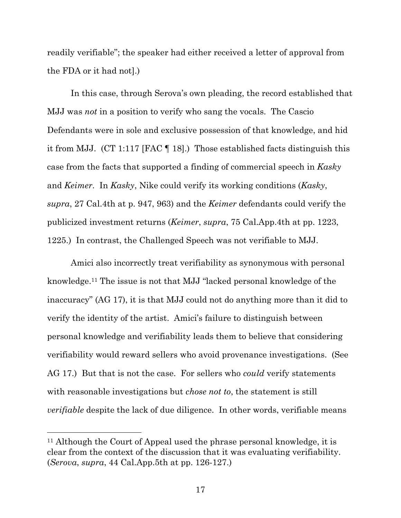readily verifiable"; the speaker had either received a letter of approval from the FDA or it had not].)

In this case, through Serova's own pleading, the record established that MJJ was *not* in a position to verify who sang the vocals. The Cascio Defendants were in sole and exclusive possession of that knowledge, and hid it from MJJ. (CT 1:117 [FAC ¶ 18].) Those established facts distinguish this case from the facts that supported a finding of commercial speech in *Kasky* and *Keimer*. In *Kasky*, Nike could verify its working conditions (*Kasky*, *supra*, 27 Cal.4th at p. 947, 963) and the *Keimer* defendants could verify the publicized investment returns (*Keimer*, *supra*, 75 Cal.App.4th at pp. 1223, 1225.) In contrast, the Challenged Speech was not verifiable to MJJ.

<span id="page-25-0"></span>Amici also incorrectly treat verifiability as synonymous with personal knowledge.<sup>11</sup> The issue is not that MJJ "lacked personal knowledge of the inaccuracy" (AG 17), it is that MJJ could not do anything more than it did to verify the identity of the artist. Amici's failure to distinguish between personal knowledge and verifiability leads them to believe that considering verifiability would reward sellers who avoid provenance investigations. (See AG 17.) But that is not the case. For sellers who *could* verify statements with reasonable investigations but *chose not to*, the statement is still *verifiable* despite the lack of due diligence. In other words, verifiable means

<sup>&</sup>lt;sup>11</sup> Although the Court of Appeal used the phrase personal knowledge, it is clear from the context of the discussion that it was evaluating verifiability. (*Serova*, *supra*, 44 Cal.App.5th at pp. 126-127.)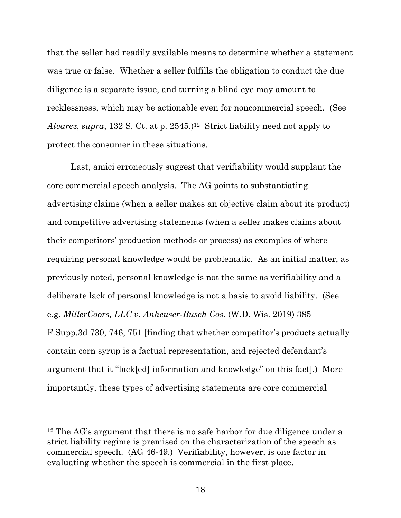that the seller had readily available means to determine whether a statement was true or false. Whether a seller fulfills the obligation to conduct the due diligence is a separate issue, and turning a blind eye may amount to recklessness, which may be actionable even for noncommercial speech. (See *Alvarez*, *supra*, 132 S. Ct. at p. 2545.)12 Strict liability need not apply to protect the consumer in these situations.

<span id="page-26-1"></span>Last, amici erroneously suggest that verifiability would supplant the core commercial speech analysis. The AG points to substantiating advertising claims (when a seller makes an objective claim about its product) and competitive advertising statements (when a seller makes claims about their competitors' production methods or process) as examples of where requiring personal knowledge would be problematic. As an initial matter, as previously noted, personal knowledge is not the same as verifiability and a deliberate lack of personal knowledge is not a basis to avoid liability. (See e.g. *MillerCoors, LLC v. Anheuser-Busch Cos*. (W.D. Wis. 2019) 385 F.Supp.3d 730, 746, 751 [finding that whether competitor's products actually contain corn syrup is a factual representation, and rejected defendant's argument that it "lack[ed] information and knowledge" on this fact].) More importantly, these types of advertising statements are core commercial

<span id="page-26-0"></span><sup>&</sup>lt;sup>12</sup> The AG's argument that there is no safe harbor for due diligence under a strict liability regime is premised on the characterization of the speech as commercial speech. (AG 46-49.) Verifiability, however, is one factor in evaluating whether the speech is commercial in the first place.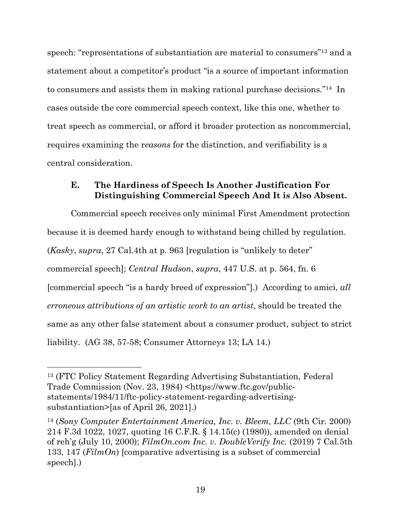speech: "representations of substantiation are material to consumers"<sup>13</sup> and a statement about a competitor's product "is a source of important information to consumers and assists them in making rational purchase decisions."14 In cases outside the core commercial speech context, like this one, whether to treat speech as commercial, or afford it broader protection as noncommercial, requires examining the r*easons* for the distinction, and verifiability is a central consideration.

#### <span id="page-27-0"></span>**E. The Hardiness of Speech Is Another Justification For Distinguishing Commercial Speech And It is Also Absent.**

<span id="page-27-1"></span>Commercial speech receives only minimal First Amendment protection because it is deemed hardy enough to withstand being chilled by regulation. (*Kasky*, *supra*, 27 Cal.4th at p. 963 [regulation is "unlikely to deter" commercial speech]; *Central Hudson*, *supra*, 447 U.S. at p. 564, fn. 6 [commercial speech "is a hardy breed of expression"].) According to amici, *all erroneous attributions of an artistic work to an artist*, should be treated the same as any other false statement about a consumer product, subject to strict liability. (AG 38, 57-58; Consumer Attorneys 13; LA 14.)

<span id="page-27-5"></span><sup>13</sup> (FTC Policy Statement Regarding Advertising Substantiation, Federal Trade Commission (Nov. 23, 1984) <https://www.ftc.gov/publicstatements/1984/11/ftc-policy-statement-regarding-advertisingsubstantiation>[as of April 26, 2021].)

<span id="page-27-4"></span><span id="page-27-3"></span><span id="page-27-2"></span><sup>14</sup> (*Sony Computer Entertainment America, Inc. v. Bleem, LLC* (9th Cir. 2000) 214 F.3d 1022, 1027, quoting 16 C.F.R. § 14.15(c) (1980)), amended on denial of reh'g (July 10, 2000); *FilmOn.com Inc. v. DoubleVerify Inc.* (2019) 7 Cal.5th 133, 147 (*FilmOn*) [comparative advertising is a subset of commercial speech].)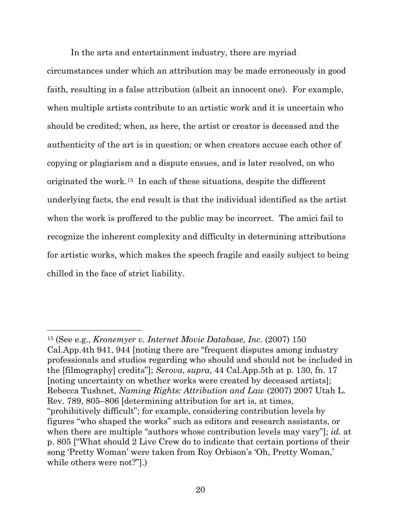In the arts and entertainment industry, there are myriad circumstances under which an attribution may be made erroneously in good faith, resulting in a false attribution (albeit an innocent one). For example, when multiple artists contribute to an artistic work and it is uncertain who should be credited; when, as here, the artist or creator is deceased and the authenticity of the art is in question; or when creators accuse each other of copying or plagiarism and a dispute ensues, and is later resolved, on who originated the work. <sup>15</sup> In each of these situations, despite the different underlying facts, the end result is that the individual identified as the artist when the work is proffered to the public may be incorrect. The amici fail to recognize the inherent complexity and difficulty in determining attributions for artistic works, which makes the speech fragile and easily subject to being chilled in the face of strict liability.

<span id="page-28-1"></span><span id="page-28-0"></span><sup>15</sup> (See e.g., *Kronemyer v. Internet Movie Database, Inc*. (2007) 150 Cal.App.4th 941, 944 [noting there are "frequent disputes among industry professionals and studios regarding who should and should not be included in the [filmography] credits"]; *Serova*, *supra*, 44 Cal.App.5th at p. 130, fn. 17 [noting uncertainty on whether works were created by deceased artists]; Rebecca Tushnet, *Naming Rights: Attribution and Law* (2007) 2007 Utah L. Rev. 789, 805–806 [determining attribution for art is, at times, "prohibitively difficult"; for example, considering contribution levels by figures "who shaped the works" such as editors and research assistants, or when there are multiple "authors whose contribution levels may vary"]; *id.* at p. 805 ["What should 2 Live Crew do to indicate that certain portions of their song 'Pretty Woman' were taken from Roy Orbison's 'Oh, Pretty Woman,' while others were not?"].)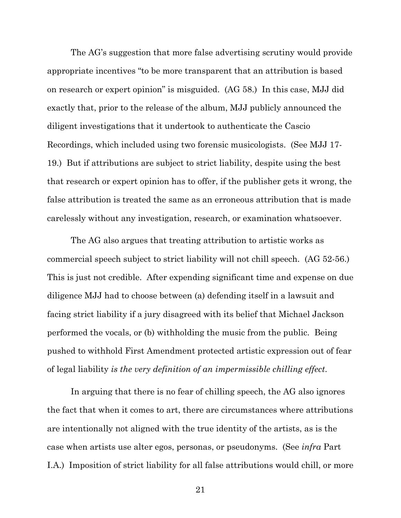The AG's suggestion that more false advertising scrutiny would provide appropriate incentives "to be more transparent that an attribution is based on research or expert opinion" is misguided. (AG 58.) In this case, MJJ did exactly that, prior to the release of the album, MJJ publicly announced the diligent investigations that it undertook to authenticate the Cascio Recordings, which included using two forensic musicologists. (See MJJ 17- 19.) But if attributions are subject to strict liability, despite using the best that research or expert opinion has to offer, if the publisher gets it wrong, the false attribution is treated the same as an erroneous attribution that is made carelessly without any investigation, research, or examination whatsoever.

The AG also argues that treating attribution to artistic works as commercial speech subject to strict liability will not chill speech. (AG 52-56.) This is just not credible. After expending significant time and expense on due diligence MJJ had to choose between (a) defending itself in a lawsuit and facing strict liability if a jury disagreed with its belief that Michael Jackson performed the vocals, or (b) withholding the music from the public. Being pushed to withhold First Amendment protected artistic expression out of fear of legal liability *is the very definition of an impermissible chilling effect*.

In arguing that there is no fear of chilling speech, the AG also ignores the fact that when it comes to art, there are circumstances where attributions are intentionally not aligned with the true identity of the artists, as is the case when artists use alter egos, personas, or pseudonyms. (See *infra* Part I.A.) Imposition of strict liability for all false attributions would chill, or more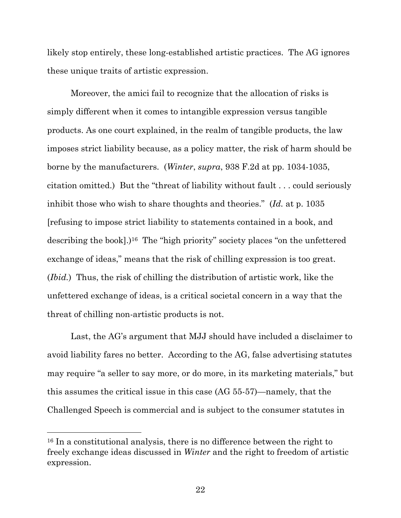likely stop entirely, these long-established artistic practices. The AG ignores these unique traits of artistic expression.

<span id="page-30-0"></span>Moreover, the amici fail to recognize that the allocation of risks is simply different when it comes to intangible expression versus tangible products. As one court explained, in the realm of tangible products, the law imposes strict liability because, as a policy matter, the risk of harm should be borne by the manufacturers. (*Winter*, *supra*, 938 F.2d at pp. 1034-1035, citation omitted.) But the "threat of liability without fault . . . could seriously inhibit those who wish to share thoughts and theories." (*Id.* at p. 1035 [refusing to impose strict liability to statements contained in a book, and describing the book].)<sup>16</sup> The "high priority" society places "on the unfettered exchange of ideas," means that the risk of chilling expression is too great. (*Ibid.*) Thus, the risk of chilling the distribution of artistic work, like the unfettered exchange of ideas, is a critical societal concern in a way that the threat of chilling non-artistic products is not.

Last, the AG's argument that MJJ should have included a disclaimer to avoid liability fares no better. According to the AG, false advertising statutes may require "a seller to say more, or do more, in its marketing materials," but this assumes the critical issue in this case (AG 55-57)—namely, that the Challenged Speech is commercial and is subject to the consumer statutes in

<sup>16</sup> In a constitutional analysis, there is no difference between the right to freely exchange ideas discussed in *Winter* and the right to freedom of artistic expression.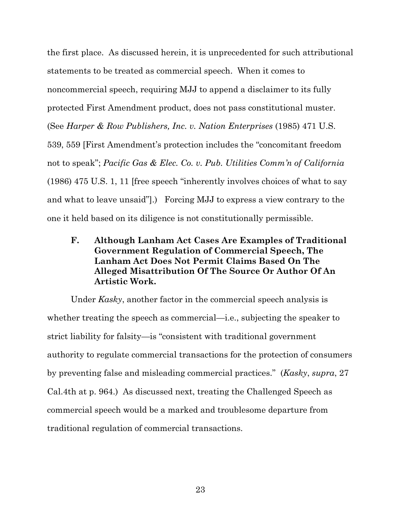<span id="page-31-1"></span>the first place. As discussed herein, it is unprecedented for such attributional statements to be treated as commercial speech. When it comes to noncommercial speech, requiring MJJ to append a disclaimer to its fully protected First Amendment product, does not pass constitutional muster. (See *Harper & Row Publishers, Inc. v. Nation Enterprises* (1985) 471 U.S. 539, 559 [First Amendment's protection includes the "concomitant freedom not to speak"; *Pacific Gas & Elec. Co. v. Pub. Utilities Comm'n of California* (1986) 475 U.S. 1, 11 [free speech "inherently involves choices of what to say and what to leave unsaid"].) Forcing MJJ to express a view contrary to the one it held based on its diligence is not constitutionally permissible.

<span id="page-31-2"></span><span id="page-31-0"></span>**F. Although Lanham Act Cases Are Examples of Traditional Government Regulation of Commercial Speech, The Lanham Act Does Not Permit Claims Based On The Alleged Misattribution Of The Source Or Author Of An Artistic Work.** 

Under *Kasky*, another factor in the commercial speech analysis is whether treating the speech as commercial—i.e., subjecting the speaker to strict liability for falsity—is "consistent with traditional government authority to regulate commercial transactions for the protection of consumers by preventing false and misleading commercial practices." (*Kasky*, *supra*, 27 Cal.4th at p. 964.) As discussed next, treating the Challenged Speech as commercial speech would be a marked and troublesome departure from traditional regulation of commercial transactions.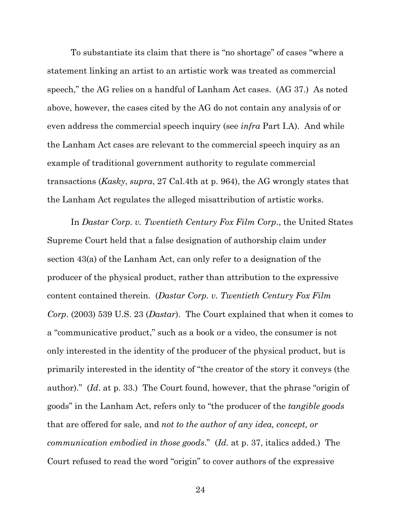To substantiate its claim that there is "no shortage" of cases "where a statement linking an artist to an artistic work was treated as commercial speech," the AG relies on a handful of Lanham Act cases. (AG 37.) As noted above, however, the cases cited by the AG do not contain any analysis of or even address the commercial speech inquiry (see *infra* Part I.A). And while the Lanham Act cases are relevant to the commercial speech inquiry as an example of traditional government authority to regulate commercial transactions (*Kasky*, *supra*, 27 Cal.4th at p. 964), the AG wrongly states that the Lanham Act regulates the alleged misattribution of artistic works.

<span id="page-32-0"></span>In *Dastar Corp. v. Twentieth Century Fox Film Corp*., the United States Supreme Court held that a false designation of authorship claim under section 43(a) of the Lanham Act, can only refer to a designation of the producer of the physical product, rather than attribution to the expressive content contained therein. (*Dastar Corp. v. Twentieth Century Fox Film Corp*. (2003) 539 U.S. 23 (*Dastar*). The Court explained that when it comes to a "communicative product," such as a book or a video, the consumer is not only interested in the identity of the producer of the physical product, but is primarily interested in the identity of "the creator of the story it conveys (the author)." (*Id*. at p. 33.) The Court found, however, that the phrase "origin of goods" in the Lanham Act, refers only to "the producer of the *tangible goods* that are offered for sale, and *not to the author of any idea, concept, or communication embodied in those goods*." (*Id.* at p. 37, italics added.) The Court refused to read the word "origin" to cover authors of the expressive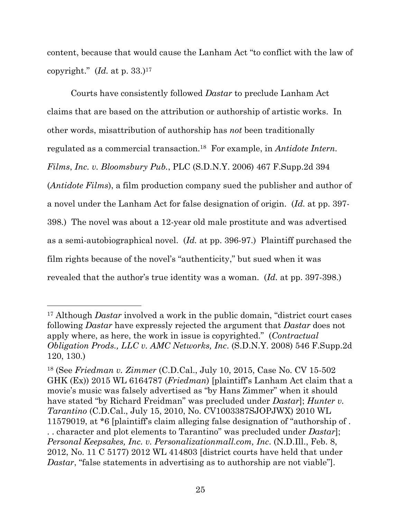<span id="page-33-3"></span>content, because that would cause the Lanham Act "to conflict with the law of copyright." (*Id.* at p. 33.) 17

<span id="page-33-0"></span>Courts have consistently followed *Dastar* to preclude Lanham Act claims that are based on the attribution or authorship of artistic works. In other words, misattribution of authorship has *not* been traditionally regulated as a commercial transaction. <sup>18</sup> For example, in *Antidote Intern. Films*, *Inc. v. Bloomsbury Pub.*, PLC (S.D.N.Y. 2006) 467 F.Supp.2d 394 (*Antidote Films*), a film production company sued the publisher and author of a novel under the Lanham Act for false designation of origin. (*Id.* at pp. 397- 398.) The novel was about a 12-year old male prostitute and was advertised as a semi-autobiographical novel. (*Id.* at pp. 396-97.) Plaintiff purchased the film rights because of the novel's "authenticity," but sued when it was revealed that the author's true identity was a woman. (*Id.* at pp. 397-398.)

<span id="page-33-2"></span><span id="page-33-1"></span><sup>17</sup> Although *Dastar* involved a work in the public domain, "district court cases following *Dastar* have expressly rejected the argument that *Dastar* does not apply where, as here, the work in issue is copyrighted." (*Contractual Obligation Prods., LLC v. AMC Networks, Inc*. (S.D.N.Y. 2008) 546 F.Supp.2d 120, 130.)

<span id="page-33-6"></span><span id="page-33-5"></span><span id="page-33-4"></span><sup>18</sup> (See *Friedman v. Zimmer* (C.D.Cal., July 10, 2015, Case No. CV 15-502 GHK (Ex)) 2015 WL 6164787 (*Friedman*) [plaintiff's Lanham Act claim that a movie's music was falsely advertised as "by Hans Zimmer" when it should have stated "by Richard Freidman" was precluded under *Dastar*]; *Hunter v. Tarantino* (C.D.Cal., July 15, 2010, No. CV1003387SJOPJWX) 2010 WL 11579019, at \*6 [plaintiff's claim alleging false designation of "authorship of . . . character and plot elements to Tarantino" was precluded under *Dastar*]; *Personal Keepsakes, Inc. v. Personalizationmall.com, Inc*. (N.D.Ill., Feb. 8, 2012, No. 11 C 5177) 2012 WL 414803 [district courts have held that under *Dastar*, "false statements in advertising as to authorship are not viable"].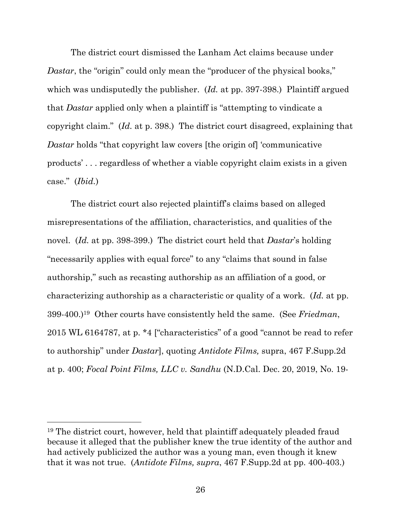The district court dismissed the Lanham Act claims because under *Dastar*, the "origin" could only mean the "producer of the physical books," which was undisputedly the publisher. (*Id.* at pp. 397-398.)Plaintiff argued that *Dastar* applied only when a plaintiff is "attempting to vindicate a copyright claim." (*Id.* at p. 398.) The district court disagreed, explaining that *Dastar* holds "that copyright law covers [the origin of] 'communicative products' . . . regardless of whether a viable copyright claim exists in a given case." (*Ibid.*)

<span id="page-34-1"></span>The district court also rejected plaintiff's claims based on alleged misrepresentations of the affiliation, characteristics, and qualities of the novel. (*Id.* at pp. 398-399.) The district court held that *Dastar*'s holding "necessarily applies with equal force" to any "claims that sound in false authorship," such as recasting authorship as an affiliation of a good, or characterizing authorship as a characteristic or quality of a work. (*Id.* at pp. 399-400.) <sup>19</sup> Other courts have consistently held the same. (See *Friedman*, 2015 WL 6164787, at p. \*4 ["characteristics" of a good "cannot be read to refer to authorship" under *Dastar*], quoting *Antidote Films,* supra, 467 F.Supp.2d at p. 400; *Focal Point Films, LLC v. Sandhu* (N.D.Cal. Dec. 20, 2019, No. 19-

<span id="page-34-0"></span><sup>19</sup> The district court, however, held that plaintiff adequately pleaded fraud because it alleged that the publisher knew the true identity of the author and had actively publicized the author was a young man, even though it knew that it was not true. (*Antidote Films, supra*, 467 F.Supp.2d at pp. 400-403.)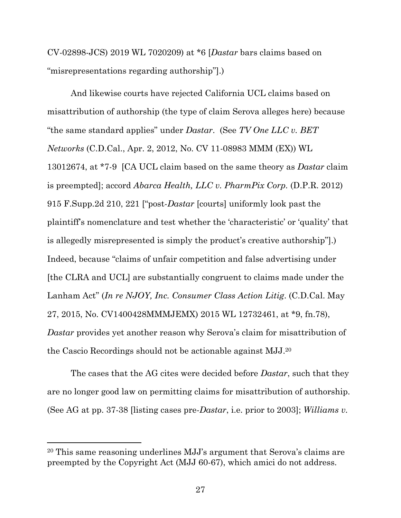CV-02898-JCS) 2019 WL 7020209) at \*6 [*Dastar* bars claims based on "misrepresentations regarding authorship"].)

<span id="page-35-2"></span><span id="page-35-0"></span>And likewise courts have rejected California UCL claims based on misattribution of authorship (the type of claim Serova alleges here) because "the same standard applies" under *Dastar*. (See *TV One LLC v. BET Networks* (C.D.Cal., Apr. 2, 2012, No. CV 11-08983 MMM (EX)) WL 13012674, at \*7-9 [CA UCL claim based on the same theory as *Dastar* claim is preempted]; accord *Abarca Health, LLC v. PharmPix Corp.* (D.P.R. 2012) 915 F.Supp.2d 210, 221 ["post-*Dastar* [courts] uniformly look past the plaintiff's nomenclature and test whether the 'characteristic' or 'quality' that is allegedly misrepresented is simply the product's creative authorship"].) Indeed, because "claims of unfair competition and false advertising under [the CLRA and UCL] are substantially congruent to claims made under the Lanham Act" (*In re NJOY, Inc. Consumer Class Action Litig*. (C.D.Cal. May 27, 2015, No. CV1400428MMMJEMX) 2015 WL 12732461, at \*9, fn.78), *Dastar* provides yet another reason why Serova's claim for misattribution of the Cascio Recordings should not be actionable against MJJ. 20

<span id="page-35-6"></span><span id="page-35-5"></span><span id="page-35-4"></span><span id="page-35-3"></span><span id="page-35-1"></span>The cases that the AG cites were decided before *Dastar*, such that they are no longer good law on permitting claims for misattribution of authorship. (See AG at pp. 37-38 [listing cases pre-*Dastar*, i.e. prior to 2003]; *Williams v.* 

<sup>20</sup> This same reasoning underlines MJJ's argument that Serova's claims are preempted by the Copyright Act (MJJ 60-67), which amici do not address.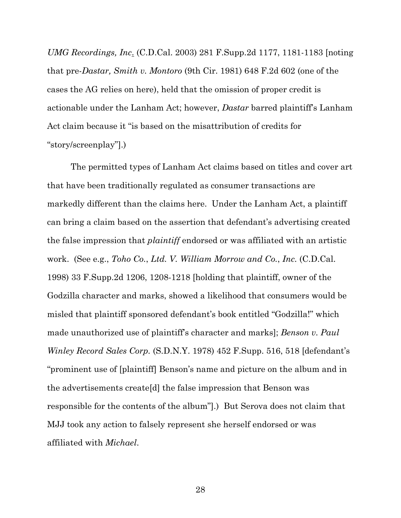<span id="page-36-1"></span>*UMG Recordings, Inc*. (C.D.Cal. 2003) 281 F.Supp.2d 1177, 1181-1183 [noting that pre-*Dastar, Smith v. Montoro* (9th Cir. 1981) 648 F.2d 602 (one of the cases the AG relies on here), held that the omission of proper credit is actionable under the Lanham Act; however, *Dastar* barred plaintiff's Lanham Act claim because it "is based on the misattribution of credits for "story/screenplay"].)

<span id="page-36-2"></span><span id="page-36-0"></span>The permitted types of Lanham Act claims based on titles and cover art that have been traditionally regulated as consumer transactions are markedly different than the claims here. Under the Lanham Act, a plaintiff can bring a claim based on the assertion that defendant's advertising created the false impression that *plaintiff* endorsed or was affiliated with an artistic work. (See e.g., *Toho Co.*, *Ltd. V. William Morrow and Co.*, *Inc.* (C.D.Cal. 1998) 33 F.Supp.2d 1206, 1208-1218 [holding that plaintiff, owner of the Godzilla character and marks, showed a likelihood that consumers would be misled that plaintiff sponsored defendant's book entitled "Godzilla!" which made unauthorized use of plaintiff's character and marks]; *Benson v. Paul Winley Record Sales Corp.* (S.D.N.Y. 1978) 452 F.Supp. 516, 518 [defendant's "prominent use of [plaintiff] Benson's name and picture on the album and in the advertisements create[d] the false impression that Benson was responsible for the contents of the album"].) But Serova does not claim that MJJ took any action to falsely represent she herself endorsed or was affiliated with *Michael*.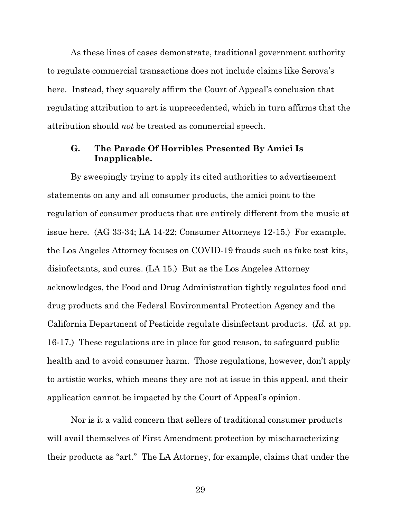As these lines of cases demonstrate, traditional government authority to regulate commercial transactions does not include claims like Serova's here. Instead, they squarely affirm the Court of Appeal's conclusion that regulating attribution to art is unprecedented, which in turn affirms that the attribution should *not* be treated as commercial speech.

#### <span id="page-37-0"></span>**G. The Parade Of Horribles Presented By Amici Is Inapplicable.**

By sweepingly trying to apply its cited authorities to advertisement statements on any and all consumer products, the amici point to the regulation of consumer products that are entirely different from the music at issue here. (AG 33-34; LA 14-22; Consumer Attorneys 12-15.) For example, the Los Angeles Attorney focuses on COVID-19 frauds such as fake test kits, disinfectants, and cures. (LA 15.) But as the Los Angeles Attorney acknowledges, the Food and Drug Administration tightly regulates food and drug products and the Federal Environmental Protection Agency and the California Department of Pesticide regulate disinfectant products. (*Id.* at pp. 16-17.) These regulations are in place for good reason, to safeguard public health and to avoid consumer harm. Those regulations, however, don't apply to artistic works, which means they are not at issue in this appeal, and their application cannot be impacted by the Court of Appeal's opinion.

Nor is it a valid concern that sellers of traditional consumer products will avail themselves of First Amendment protection by mischaracterizing their products as "art." The LA Attorney, for example, claims that under the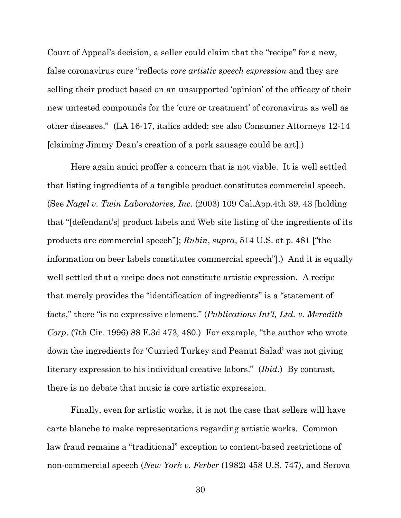Court of Appeal's decision, a seller could claim that the "recipe" for a new, false coronavirus cure "reflects *core artistic speech expression* and they are selling their product based on an unsupported 'opinion' of the efficacy of their new untested compounds for the 'cure or treatment' of coronavirus as well as other diseases." (LA 16-17, italics added; see also Consumer Attorneys 12-14 [claiming Jimmy Dean's creation of a pork sausage could be art].)

<span id="page-38-3"></span><span id="page-38-0"></span>Here again amici proffer a concern that is not viable. It is well settled that listing ingredients of a tangible product constitutes commercial speech. (See *Nagel v. Twin Laboratories, Inc*. (2003) 109 Cal.App.4th 39, 43 [holding that "[defendant's] product labels and Web site listing of the ingredients of its products are commercial speech"]; *Rubin*, *supra*, 514 U.S. at p. 481 ["the information on beer labels constitutes commercial speech"].) And it is equally well settled that a recipe does not constitute artistic expression. A recipe that merely provides the "identification of ingredients" is a "statement of facts," there "is no expressive element." (*Publications Int'l, Ltd. v. Meredith Corp*. (7th Cir. 1996) 88 F.3d 473, 480.) For example, "the author who wrote down the ingredients for 'Curried Turkey and Peanut Salad' was not giving literary expression to his individual creative labors." (*Ibid.*) By contrast, there is no debate that music is core artistic expression.

<span id="page-38-2"></span><span id="page-38-1"></span>Finally, even for artistic works, it is not the case that sellers will have carte blanche to make representations regarding artistic works. Common law fraud remains a "traditional" exception to content-based restrictions of non-commercial speech (*New York v. Ferber* (1982) 458 U.S. 747), and Serova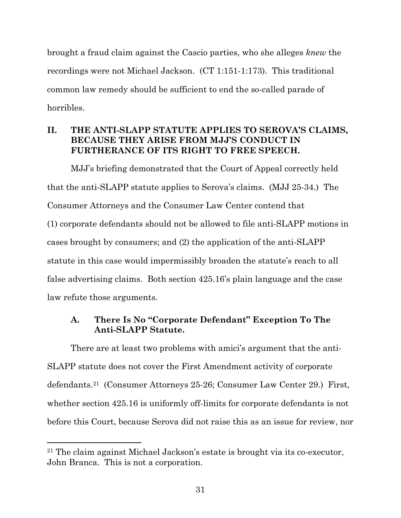brought a fraud claim against the Cascio parties, who she alleges *knew* the recordings were not Michael Jackson. (CT 1:151-1:173). This traditional common law remedy should be sufficient to end the so-called parade of horribles.

### <span id="page-39-0"></span>**II. THE ANTI-SLAPP STATUTE APPLIES TO SEROVA'S CLAIMS, BECAUSE THEY ARISE FROM MJJ'S CONDUCT IN FURTHERANCE OF ITS RIGHT TO FREE SPEECH.**

MJJ's briefing demonstrated that the Court of Appeal correctly held that the anti-SLAPP statute applies to Serova's claims. (MJJ 25-34.) The Consumer Attorneys and the Consumer Law Center contend that (1) corporate defendants should not be allowed to file anti-SLAPP motions in cases brought by consumers; and (2) the application of the anti-SLAPP statute in this case would impermissibly broaden the statute's reach to all false advertising claims. Both section 425.16's plain language and the case law refute those arguments.

### <span id="page-39-1"></span>**A. There Is No "Corporate Defendant" Exception To The Anti-SLAPP Statute.**

There are at least two problems with amici's argument that the anti-SLAPP statute does not cover the First Amendment activity of corporate defendants. <sup>21</sup> (Consumer Attorneys 25-26; Consumer Law Center 29.) First, whether section 425.16 is uniformly off-limits for corporate defendants is not before this Court, because Serova did not raise this as an issue for review, nor

<sup>21</sup> The claim against Michael Jackson's estate is brought via its co-executor, John Branca. This is not a corporation.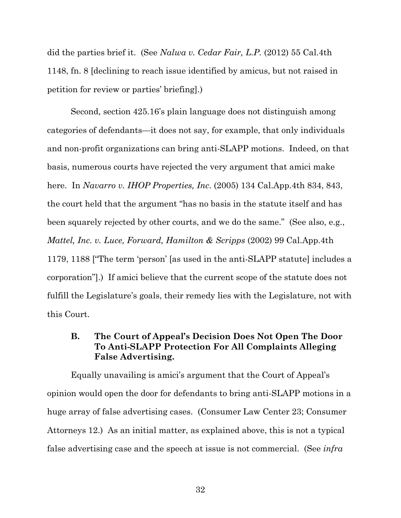<span id="page-40-2"></span>did the parties brief it. (See *Nalwa v. Cedar Fair, L.P.* (2012) 55 Cal.4th 1148, fn. 8 [declining to reach issue identified by amicus, but not raised in petition for review or parties' briefing].)

<span id="page-40-3"></span>Second, section 425.16's plain language does not distinguish among categories of defendants—it does not say, for example, that only individuals and non-profit organizations can bring anti-SLAPP motions. Indeed, on that basis, numerous courts have rejected the very argument that amici make here. In *Navarro v. IHOP Properties, Inc*. (2005) 134 Cal.App.4th 834, 843, the court held that the argument "has no basis in the statute itself and has been squarely rejected by other courts, and we do the same." (See also, e.g., *Mattel, Inc. v. Luce, Forward, Hamilton & Scripps* (2002) 99 Cal.App.4th 1179, 1188 ["The term 'person' [as used in the anti-SLAPP statute] includes a corporation"].) If amici believe that the current scope of the statute does not fulfill the Legislature's goals, their remedy lies with the Legislature, not with this Court.

### <span id="page-40-1"></span><span id="page-40-0"></span>**B. The Court of Appeal's Decision Does Not Open The Door To Anti-SLAPP Protection For All Complaints Alleging False Advertising.**

Equally unavailing is amici's argument that the Court of Appeal's opinion would open the door for defendants to bring anti-SLAPP motions in a huge array of false advertising cases. (Consumer Law Center 23; Consumer Attorneys 12.) As an initial matter, as explained above, this is not a typical false advertising case and the speech at issue is not commercial. (See *infra*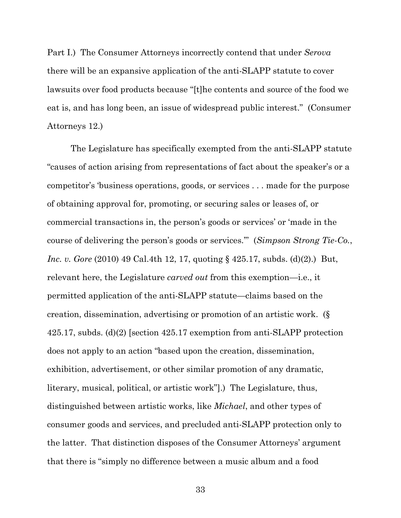Part I.) The Consumer Attorneys incorrectly contend that under *Serova*  there will be an expansive application of the anti-SLAPP statute to cover lawsuits over food products because "[t]he contents and source of the food we eat is, and has long been, an issue of widespread public interest." (Consumer Attorneys 12.)

<span id="page-41-1"></span><span id="page-41-0"></span>The Legislature has specifically exempted from the anti-SLAPP statute "causes of action arising from representations of fact about the speaker's or a competitor's 'business operations, goods, or services . . . made for the purpose of obtaining approval for, promoting, or securing sales or leases of, or commercial transactions in, the person's goods or services' or 'made in the course of delivering the person's goods or services.'" (*Simpson Strong Tie-Co.*, *Inc. v. Gore* (2010) 49 Cal.4th 12, 17, quoting § 425.17, subds. (d)(2).) But, relevant here, the Legislature *carved out* from this exemption—i.e., it permitted application of the anti-SLAPP statute—claims based on the creation, dissemination, advertising or promotion of an artistic work. (§ 425.17, subds. (d)(2) [section 425.17 exemption from anti-SLAPP protection does not apply to an action "based upon the creation, dissemination, exhibition, advertisement, or other similar promotion of any dramatic, literary, musical, political, or artistic work"].) The Legislature, thus, distinguished between artistic works, like *Michael*, and other types of consumer goods and services, and precluded anti-SLAPP protection only to the latter. That distinction disposes of the Consumer Attorneys' argument that there is "simply no difference between a music album and a food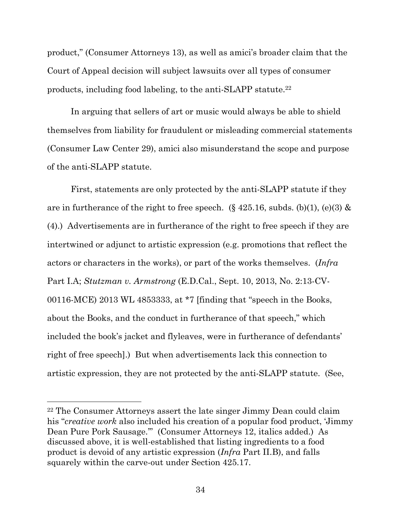product," (Consumer Attorneys 13), as well as amici's broader claim that the Court of Appeal decision will subject lawsuits over all types of consumer products, including food labeling, to the anti-SLAPP statute.<sup>22</sup>

In arguing that sellers of art or music would always be able to shield themselves from liability for fraudulent or misleading commercial statements (Consumer Law Center 29), amici also misunderstand the scope and purpose of the anti-SLAPP statute.

<span id="page-42-1"></span><span id="page-42-0"></span>First, statements are only protected by the anti-SLAPP statute if they are in furtherance of the right to free speech.  $(\S 425.16, \text{subds}, (b)(1), (e)(3) \&$ (4).) Advertisements are in furtherance of the right to free speech if they are intertwined or adjunct to artistic expression (e.g. promotions that reflect the actors or characters in the works), or part of the works themselves. (*Infra* Part I.A; *Stutzman v. Armstrong* (E.D.Cal., Sept. 10, 2013, No. 2:13-CV-00116-MCE) 2013 WL 4853333, at \*7 [finding that "speech in the Books, about the Books, and the conduct in furtherance of that speech," which included the book's jacket and flyleaves, were in furtherance of defendants' right of free speech].) But when advertisements lack this connection to artistic expression, they are not protected by the anti-SLAPP statute. (See,

<span id="page-42-2"></span><sup>22</sup> The Consumer Attorneys assert the late singer Jimmy Dean could claim his "*creative work* also included his creation of a popular food product, 'Jimmy Dean Pure Pork Sausage.'" (Consumer Attorneys 12, italics added.) As discussed above, it is well-established that listing ingredients to a food product is devoid of any artistic expression (*Infra* Part II.B), and falls squarely within the carve-out under Section 425.17.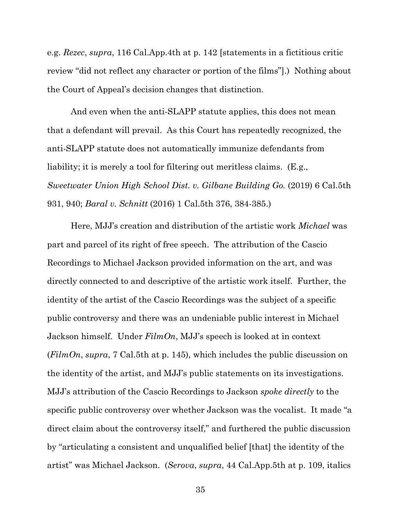<span id="page-43-2"></span>e.g. *Rezec*, *supra*, 116 Cal.App.4th at p. 142 [statements in a fictitious critic review "did not reflect any character or portion of the films"].) Nothing about the Court of Appeal's decision changes that distinction.

And even when the anti-SLAPP statute applies, this does not mean that a defendant will prevail. As this Court has repeatedly recognized, the anti-SLAPP statute does not automatically immunize defendants from liability; it is merely a tool for filtering out meritless claims. (E.g., *Sweetwater Union High School Dist. v. Gilbane Building Go.* (2019) 6 Cal.5th 931, 940; *Baral v. Schnitt* (2016) 1 Cal.5th 376, 384-385.)

<span id="page-43-3"></span><span id="page-43-1"></span><span id="page-43-0"></span>Here, MJJ's creation and distribution of the artistic work *Michael* was part and parcel of its right of free speech. The attribution of the Cascio Recordings to Michael Jackson provided information on the art, and was directly connected to and descriptive of the artistic work itself. Further, the identity of the artist of the Cascio Recordings was the subject of a specific public controversy and there was an undeniable public interest in Michael Jackson himself. Under *FilmOn*, MJJ's speech is looked at in context (*FilmOn*, *supra*, 7 Cal.5th at p. 145), which includes the public discussion on the identity of the artist, and MJJ's public statements on its investigations. MJJ's attribution of the Cascio Recordings to Jackson *spoke directly* to the specific public controversy over whether Jackson was the vocalist. It made "a direct claim about the controversy itself," and furthered the public discussion by "articulating a consistent and unqualified belief [that] the identity of the artist" was Michael Jackson. (*Serova*, *supra*, 44 Cal.App.5th at p. 109, italics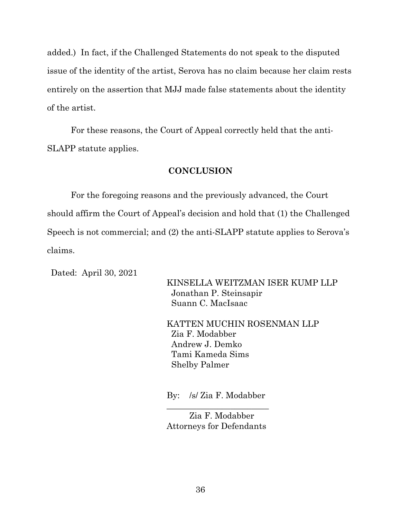added.) In fact, if the Challenged Statements do not speak to the disputed issue of the identity of the artist, Serova has no claim because her claim rests entirely on the assertion that MJJ made false statements about the identity of the artist.

For these reasons, the Court of Appeal correctly held that the anti-SLAPP statute applies.

#### **CONCLUSION**

<span id="page-44-0"></span>For the foregoing reasons and the previously advanced, the Court should affirm the Court of Appeal's decision and hold that (1) the Challenged Speech is not commercial; and (2) the anti-SLAPP statute applies to Serova's claims.

Dated: April 30, 2021

KINSELLA WEITZMAN ISER KUMP LLP Jonathan P. Steinsapir Suann C. MacIsaac

KATTEN MUCHIN ROSENMAN LLP Zia F. Modabber Andrew J. Demko Tami Kameda Sims Shelby Palmer

By: /s/ Zia F. Modabber \_\_\_\_\_\_\_\_\_\_\_\_\_\_\_\_\_\_\_\_\_\_\_\_

Zia F. Modabber Attorneys for Defendants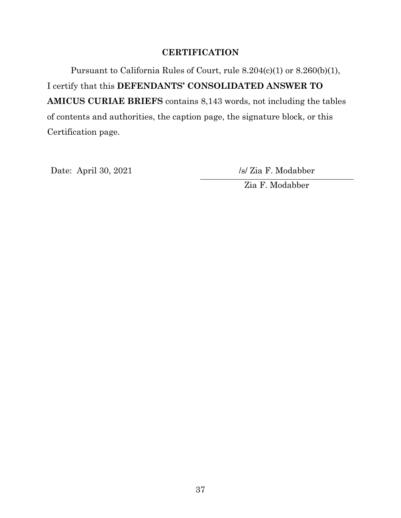### **CERTIFICATION**

<span id="page-45-0"></span>Pursuant to California Rules of Court, rule 8.204(c)(1) or 8.260(b)(1), I certify that this **DEFENDANTS' CONSOLIDATED ANSWER TO AMICUS CURIAE BRIEFS** contains 8,143 words, not including the tables of contents and authorities, the caption page, the signature block, or this Certification page.

Date: April 30, 2021 /s/ Zia F. Modabber

Zia F. Modabber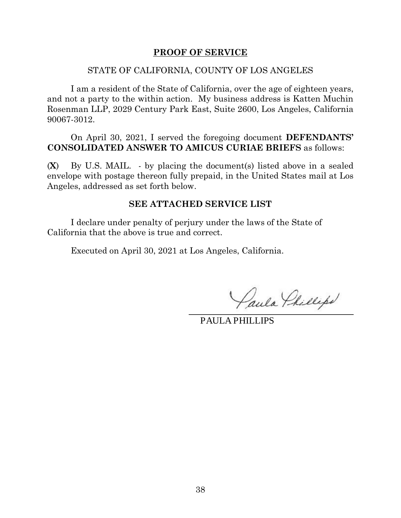#### **PROOF OF SERVICE**

#### STATE OF CALIFORNIA, COUNTY OF LOS ANGELES

<span id="page-46-0"></span>I am a resident of the State of California, over the age of eighteen years, and not a party to the within action. My business address is Katten Muchin Rosenman LLP, 2029 Century Park East, Suite 2600, Los Angeles, California 90067-3012.

On April 30, 2021, I served the foregoing document **DEFENDANTS' CONSOLIDATED ANSWER TO AMICUS CURIAE BRIEFS** as follows:

(**X**) By U.S. MAIL. - by placing the document(s) listed above in a sealed envelope with postage thereon fully prepaid, in the United States mail at Los Angeles, addressed as set forth below.

#### **SEE ATTACHED SERVICE LIST**

I declare under penalty of perjury under the laws of the State of California that the above is true and correct.

Executed on April 30, 2021 at Los Angeles, California.

Paula Phillips

PAULA PHILLIPS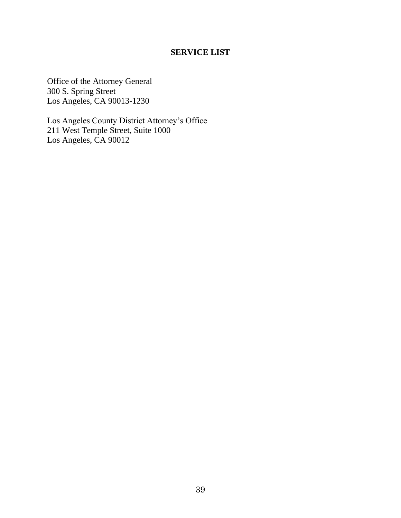### **SERVICE LIST**

Office of the Attorney General 300 S. Spring Street Los Angeles, CA 90013-1230

Los Angeles County District Attorney's Office 211 West Temple Street, Suite 1000 Los Angeles, CA 90012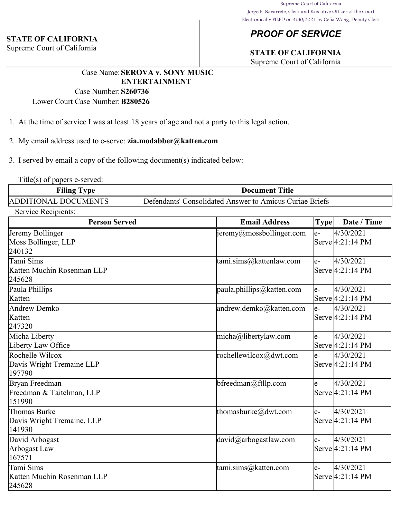#### **STATE OF CALIFORNIA**

Supreme Court of California

# *PROOF OF SERVICE*

# **STATE OF CALIFORNIA**

Supreme Court of California

### Case Name:**SEROVA v. SONY MUSIC ENTERTAINMENT**

Case Number:**S260736** Lower Court Case Number:**B280526**

1. At the time of service I was at least 18 years of age and not a party to this legal action.

2. My email address used to e-serve: **zia.modabber@katten.com**

3. I served by email a copy of the following document(s) indicated below:

Title(s) of papers e-served:

| <b>Filing Type</b>   | <b>Document Title</b>                                   |
|----------------------|---------------------------------------------------------|
| ADDITIONAL DOCUMENTS | Defendants' Consolidated Answer to Amicus Curiae Briefs |

Service Recipients:

| <b>Person Served</b>                                   | <b>Email Address</b>      | Type <sup> </sup> | Date / Time                             |
|--------------------------------------------------------|---------------------------|-------------------|-----------------------------------------|
| Jeremy Bollinger<br>Moss Bollinger, LLP<br>240132      | jeremy@mossbollinger.com  | le-               | 4/30/2021<br>Serve 4:21:14 PM           |
| Tami Sims<br>Katten Muchin Rosenman LLP<br>245628      | tami.sims@kattenlaw.com   | le-               | 4/30/2021<br>Serve 4:21:14 PM           |
| Paula Phillips<br>Katten                               | paula.phillips@katten.com | le-               | 4/30/2021<br>Serve $4:21:14 \text{ PM}$ |
| Andrew Demko<br>Katten<br>247320                       | andrew.demko@katten.com   | le-               | 4/30/2021<br>Serve $4:21:14 \text{ PM}$ |
| Micha Liberty<br>Liberty Law Office                    | micha@libertylaw.com      | le-               | 4/30/2021<br>Serve $4:21:14 \text{ PM}$ |
| Rochelle Wilcox<br>Davis Wright Tremaine LLP<br>197790 | rochellewilcox@dwt.com    | $ e-$             | 4/30/2021<br>Serve $4:21:14 \text{ PM}$ |
| Bryan Freedman<br>Freedman & Taitelman, LLP<br>151990  | $b$ freedman@ftllp.com    | le-               | 4/30/2021<br>Serve 4:21:14 PM           |
| Thomas Burke<br>Davis Wright Tremaine, LLP<br>141930   | thomasburke@dwt.com       | le-               | 4/30/2021<br>Serve 4:21:14 PM           |
| David Arbogast<br>Arbogast Law<br>167571               | david@arbogastlaw.com     | le-               | 4/30/2021<br>Serve $4:21:14 \text{ PM}$ |
| Tami Sims<br>Katten Muchin Rosenman LLP<br>245628      | tami.sims@katten.com      | le-               | 4/30/2021<br>Serve 4:21:14 PM           |